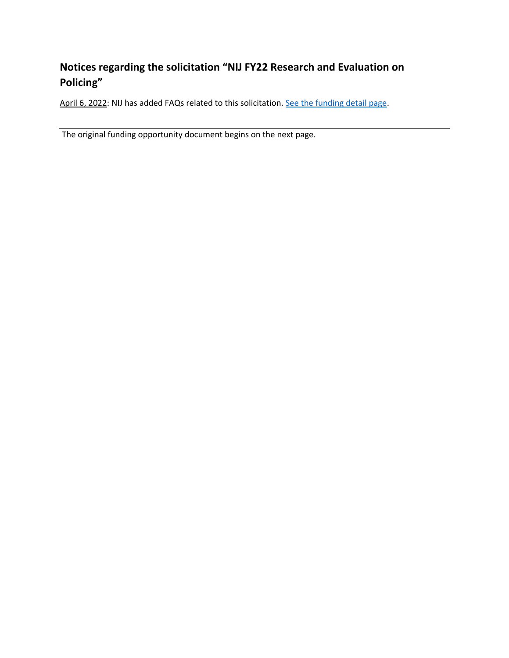## **Notices regarding the solicitation "NIJ FY22 Research and Evaluation on Policing"**

April 6, 2022: NIJ has added FAQs related to this solicitation[. See the funding detail page.](https://nij.ojp.gov/funding/opportunities/O-NIJ-2022-171247)

The original funding opportunity document begins on the next page.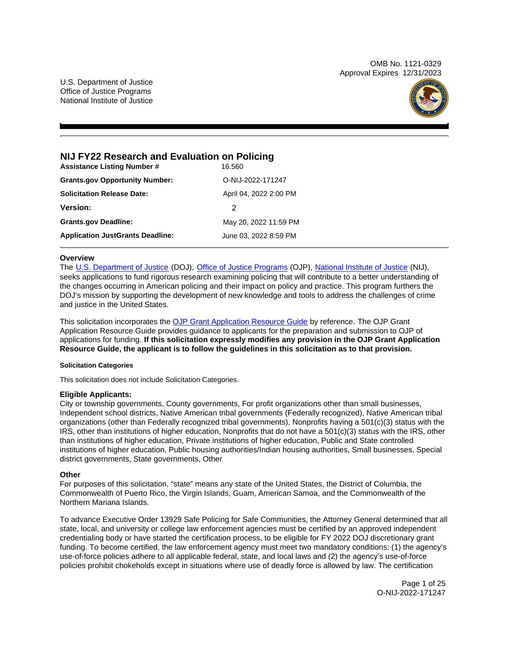OMB No. 1121-0329 Approval Expires 12/31/2023

U.S. Department of Justice Office of Justice Programs National Institute of Justice



## **NIJ FY22 Research and Evaluation on Policing**

| <b>Assistance Listing Number #</b>      | 16.560                 |
|-----------------------------------------|------------------------|
| <b>Grants.gov Opportunity Number:</b>   | O-NIJ-2022-171247      |
| <b>Solicitation Release Date:</b>       | April 04, 2022 2:00 PM |
| <b>Version:</b>                         | 2                      |
| <b>Grants.gov Deadline:</b>             | May 20, 2022 11:59 PM  |
| <b>Application JustGrants Deadline:</b> | June 03, 2022 8:59 PM  |

## **Overview**

The [U.S. Department of Justice](https://www.usdoj.gov/) (DOJ), [Office of Justice Programs](https://www.ojp.usdoj.gov/) (OJP), [National Institute of Justice](https://nij.ojp.gov/) (NIJ), seeks applications to fund rigorous research examining policing that will contribute to a better understanding of the changes occurring in American policing and their impact on policy and practice. This program furthers the DOJ's mission by supporting the development of new knowledge and tools to address the challenges of crime and justice in the United States.

This solicitation incorporates the [OJP Grant Application Resource Guide](https://www.ojp.gov/funding/Apply/Resources/Grant-App-Resource-Guide.htm) by reference. The OJP Grant Application Resource Guide provides guidance to applicants for the preparation and submission to OJP of applications for funding. **If this solicitation expressly modifies any provision in the OJP Grant Application Resource Guide, the applicant is to follow the guidelines in this solicitation as to that provision.** 

## **Solicitation Categories**

This solicitation does not include Solicitation Categories.

## **Eligible Applicants:**

City or township governments, County governments, For profit organizations other than small businesses, Independent school districts, Native American tribal governments (Federally recognized), Native American tribal organizations (other than Federally recognized tribal governments), Nonprofits having a 501(c)(3) status with the IRS, other than institutions of higher education, Nonprofits that do not have a 501(c)(3) status with the IRS, other than institutions of higher education, Private institutions of higher education, Public and State controlled institutions of higher education, Public housing authorities/Indian housing authorities, Small businesses, Special district governments, State governments, Other

## **Other**

For purposes of this solicitation, "state" means any state of the United States, the District of Columbia, the Commonwealth of Puerto Rico, the Virgin Islands, Guam, American Samoa, and the Commonwealth of the Northern Mariana Islands.

To advance Executive Order 13929 Safe Policing for Safe Communities, the Attorney General determined that all state, local, and university or college law enforcement agencies must be certified by an approved independent credentialing body or have started the certification process, to be eligible for FY 2022 DOJ discretionary grant funding. To become certified, the law enforcement agency must meet two mandatory conditions: (1) the agency's use-of-force policies adhere to all applicable federal, state, and local laws and (2) the agency's use-of-force policies prohibit chokeholds except in situations where use of deadly force is allowed by law. The certification

> Page 1 of 25 O-NIJ-2022-171247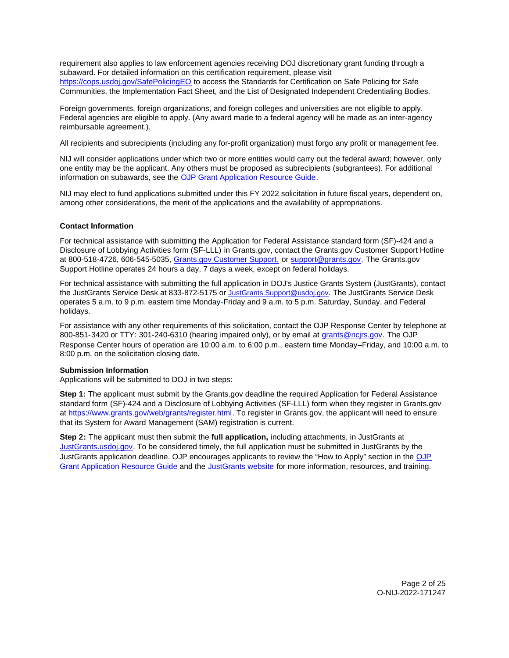<span id="page-2-0"></span>requirement also applies to law enforcement agencies receiving DOJ discretionary grant funding through a subaward. For detailed information on this certification requirement, please visit [https://cops.usdoj.gov/SafePolicingEO](https://cops.usdoj.gov/SafePolicingEO%20) to access the Standards for Certification on Safe Policing for Safe Communities, the Implementation Fact Sheet, and the List of Designated Independent Credentialing Bodies.

Foreign governments, foreign organizations, and foreign colleges and universities are not eligible to apply. Federal agencies are eligible to apply. (Any award made to a federal agency will be made as an inter-agency reimbursable agreement.).

All recipients and subrecipients (including any for-profit organization) must forgo any profit or management fee.

NIJ will consider applications under which two or more entities would carry out the federal award; however, only one entity may be the applicant. Any others must be proposed as subrecipients (subgrantees). For additional information on subawards, see the [OJP Grant Application Resource Guide.](https://www.ojp.gov/funding/Apply/Resources/Grant-App-Resource-Guide.htm)

NIJ may elect to fund applications submitted under this FY 2022 solicitation in future fiscal years, dependent on, among other considerations, the merit of the applications and the availability of appropriations.

## **Contact Information**

For technical assistance with submitting the Application for Federal Assistance standard form (SF)-424 and a Disclosure of Lobbying Activities form (SF-LLL) in [Grants.gov](https://Grants.gov), contact the [Grants.gov](https://Grants.gov) Customer Support Hotline at 800-518-4726, 606-545-5035, [Grants.gov Customer Support,](https://www.grants.gov/web/grants/support.html) or [support@grants.gov.](mailto:support@grants.gov) The [Grants.gov](https://Grants.gov) Support Hotline operates 24 hours a day, 7 days a week, except on federal holidays.

For technical assistance with submitting the full application in DOJ's Justice Grants System (JustGrants), contact the JustGrants Service Desk at 833-872-5175 or [JustGrants.Support@usdoj.gov.](mailto:JustGrants.Support@usdoj.gov) The JustGrants Service Desk operates 5 a.m. to 9 p.m. eastern time Monday-Friday and 9 a.m. to 5 p.m. Saturday, Sunday, and Federal holidays.

For assistance with any other requirements of this solicitation, contact the OJP Response Center by telephone at 800-851-3420 or TTY: 301-240-6310 (hearing impaired only), or by email at [grants@ncjrs.gov.](mailto:grants@ncjrs.gov) The OJP Response Center hours of operation are 10:00 a.m. to 6:00 p.m., eastern time Monday–Friday, and 10:00 a.m. to 8:00 p.m. on the solicitation closing date.

#### **Submission Information**

Applications will be submitted to DOJ in two steps:

**Step 1:** The applicant must submit by the [Grants.gov](https://Grants.gov) deadline the required Application for Federal Assistance standard form (SF)-424 and a Disclosure of Lobbying Activities (SF-LLL) form when they register in [Grants.gov](https://Grants.gov) at [https://www.grants.gov/web/grants/register.html.](https://www.grants.gov/web/grants/register.html) To register in [Grants.gov](https://Grants.gov), the applicant will need to ensure that its System for Award Management (SAM) registration is current.

**Step 2:** The applicant must then submit the **full application,** including attachments, in JustGrants at [JustGrants.usdoj.gov.](https://justicegrants.usdoj.gov/) To be considered timely, the full application must be submitted in JustGrants by the JustGrants application deadline. OJP encourages applicants to review the "How to Apply" section in the [OJP](https://www.ojp.gov/funding/apply/ojp-grant-application-resource-guide#apply)  [Grant Application Resource Guide](https://www.ojp.gov/funding/apply/ojp-grant-application-resource-guide#apply) and the [JustGrants website](https://justicegrants.usdoj.gov/news) for more information, resources, and training.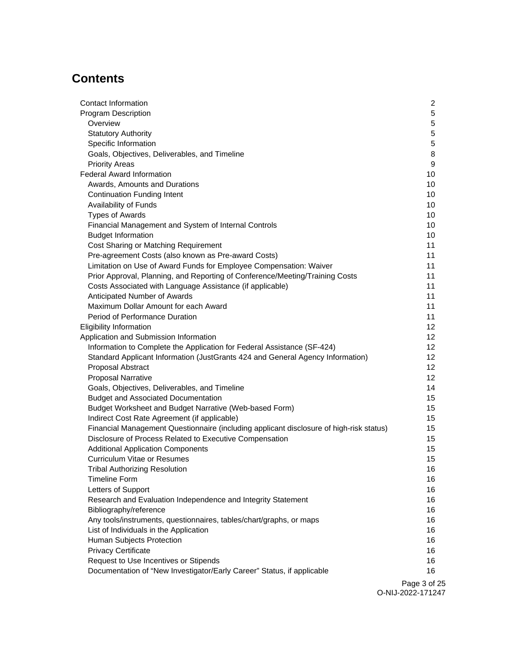# **Contents**

| 5<br>Program Description<br>5<br>Overview<br>$\mathbf 5$<br><b>Statutory Authority</b><br>5<br>Specific Information<br>8<br>Goals, Objectives, Deliverables, and Timeline<br>9<br><b>Priority Areas</b><br><b>Federal Award Information</b><br>10<br>10<br>Awards, Amounts and Durations<br>10<br><b>Continuation Funding Intent</b><br>Availability of Funds<br>10<br><b>Types of Awards</b><br>10<br>10<br>Financial Management and System of Internal Controls<br><b>Budget Information</b><br>10<br>Cost Sharing or Matching Requirement<br>11<br>Pre-agreement Costs (also known as Pre-award Costs)<br>11<br>Limitation on Use of Award Funds for Employee Compensation: Waiver<br>11<br>Prior Approval, Planning, and Reporting of Conference/Meeting/Training Costs<br>11<br>11<br>Costs Associated with Language Assistance (if applicable)<br>Anticipated Number of Awards<br>11<br>Maximum Dollar Amount for each Award<br>11<br>Period of Performance Duration<br>11<br><b>Eligibility Information</b><br>12<br>Application and Submission Information<br>12 <sup>°</sup><br>Information to Complete the Application for Federal Assistance (SF-424)<br>12<br>Standard Applicant Information (JustGrants 424 and General Agency Information)<br>12<br>12<br>Proposal Abstract<br>12<br><b>Proposal Narrative</b><br>14<br>Goals, Objectives, Deliverables, and Timeline<br><b>Budget and Associated Documentation</b><br>15<br>Budget Worksheet and Budget Narrative (Web-based Form)<br>15<br>15<br>Indirect Cost Rate Agreement (if applicable)<br>Financial Management Questionnaire (including applicant disclosure of high-risk status)<br>15<br>Disclosure of Process Related to Executive Compensation<br>15<br><b>Additional Application Components</b><br>15<br><b>Curriculum Vitae or Resumes</b><br>15<br>16<br><b>Tribal Authorizing Resolution</b><br><b>Timeline Form</b><br>16<br>Letters of Support<br>16 |
|---------------------------------------------------------------------------------------------------------------------------------------------------------------------------------------------------------------------------------------------------------------------------------------------------------------------------------------------------------------------------------------------------------------------------------------------------------------------------------------------------------------------------------------------------------------------------------------------------------------------------------------------------------------------------------------------------------------------------------------------------------------------------------------------------------------------------------------------------------------------------------------------------------------------------------------------------------------------------------------------------------------------------------------------------------------------------------------------------------------------------------------------------------------------------------------------------------------------------------------------------------------------------------------------------------------------------------------------------------------------------------------------------------------------------------------------------------------------------------------------------------------------------------------------------------------------------------------------------------------------------------------------------------------------------------------------------------------------------------------------------------------------------------------------------------------------------------------------------------------------------------------------------------------------------------------|
|                                                                                                                                                                                                                                                                                                                                                                                                                                                                                                                                                                                                                                                                                                                                                                                                                                                                                                                                                                                                                                                                                                                                                                                                                                                                                                                                                                                                                                                                                                                                                                                                                                                                                                                                                                                                                                                                                                                                       |
|                                                                                                                                                                                                                                                                                                                                                                                                                                                                                                                                                                                                                                                                                                                                                                                                                                                                                                                                                                                                                                                                                                                                                                                                                                                                                                                                                                                                                                                                                                                                                                                                                                                                                                                                                                                                                                                                                                                                       |
|                                                                                                                                                                                                                                                                                                                                                                                                                                                                                                                                                                                                                                                                                                                                                                                                                                                                                                                                                                                                                                                                                                                                                                                                                                                                                                                                                                                                                                                                                                                                                                                                                                                                                                                                                                                                                                                                                                                                       |
|                                                                                                                                                                                                                                                                                                                                                                                                                                                                                                                                                                                                                                                                                                                                                                                                                                                                                                                                                                                                                                                                                                                                                                                                                                                                                                                                                                                                                                                                                                                                                                                                                                                                                                                                                                                                                                                                                                                                       |
|                                                                                                                                                                                                                                                                                                                                                                                                                                                                                                                                                                                                                                                                                                                                                                                                                                                                                                                                                                                                                                                                                                                                                                                                                                                                                                                                                                                                                                                                                                                                                                                                                                                                                                                                                                                                                                                                                                                                       |
|                                                                                                                                                                                                                                                                                                                                                                                                                                                                                                                                                                                                                                                                                                                                                                                                                                                                                                                                                                                                                                                                                                                                                                                                                                                                                                                                                                                                                                                                                                                                                                                                                                                                                                                                                                                                                                                                                                                                       |
|                                                                                                                                                                                                                                                                                                                                                                                                                                                                                                                                                                                                                                                                                                                                                                                                                                                                                                                                                                                                                                                                                                                                                                                                                                                                                                                                                                                                                                                                                                                                                                                                                                                                                                                                                                                                                                                                                                                                       |
|                                                                                                                                                                                                                                                                                                                                                                                                                                                                                                                                                                                                                                                                                                                                                                                                                                                                                                                                                                                                                                                                                                                                                                                                                                                                                                                                                                                                                                                                                                                                                                                                                                                                                                                                                                                                                                                                                                                                       |
|                                                                                                                                                                                                                                                                                                                                                                                                                                                                                                                                                                                                                                                                                                                                                                                                                                                                                                                                                                                                                                                                                                                                                                                                                                                                                                                                                                                                                                                                                                                                                                                                                                                                                                                                                                                                                                                                                                                                       |
|                                                                                                                                                                                                                                                                                                                                                                                                                                                                                                                                                                                                                                                                                                                                                                                                                                                                                                                                                                                                                                                                                                                                                                                                                                                                                                                                                                                                                                                                                                                                                                                                                                                                                                                                                                                                                                                                                                                                       |
|                                                                                                                                                                                                                                                                                                                                                                                                                                                                                                                                                                                                                                                                                                                                                                                                                                                                                                                                                                                                                                                                                                                                                                                                                                                                                                                                                                                                                                                                                                                                                                                                                                                                                                                                                                                                                                                                                                                                       |
|                                                                                                                                                                                                                                                                                                                                                                                                                                                                                                                                                                                                                                                                                                                                                                                                                                                                                                                                                                                                                                                                                                                                                                                                                                                                                                                                                                                                                                                                                                                                                                                                                                                                                                                                                                                                                                                                                                                                       |
|                                                                                                                                                                                                                                                                                                                                                                                                                                                                                                                                                                                                                                                                                                                                                                                                                                                                                                                                                                                                                                                                                                                                                                                                                                                                                                                                                                                                                                                                                                                                                                                                                                                                                                                                                                                                                                                                                                                                       |
|                                                                                                                                                                                                                                                                                                                                                                                                                                                                                                                                                                                                                                                                                                                                                                                                                                                                                                                                                                                                                                                                                                                                                                                                                                                                                                                                                                                                                                                                                                                                                                                                                                                                                                                                                                                                                                                                                                                                       |
|                                                                                                                                                                                                                                                                                                                                                                                                                                                                                                                                                                                                                                                                                                                                                                                                                                                                                                                                                                                                                                                                                                                                                                                                                                                                                                                                                                                                                                                                                                                                                                                                                                                                                                                                                                                                                                                                                                                                       |
|                                                                                                                                                                                                                                                                                                                                                                                                                                                                                                                                                                                                                                                                                                                                                                                                                                                                                                                                                                                                                                                                                                                                                                                                                                                                                                                                                                                                                                                                                                                                                                                                                                                                                                                                                                                                                                                                                                                                       |
|                                                                                                                                                                                                                                                                                                                                                                                                                                                                                                                                                                                                                                                                                                                                                                                                                                                                                                                                                                                                                                                                                                                                                                                                                                                                                                                                                                                                                                                                                                                                                                                                                                                                                                                                                                                                                                                                                                                                       |
|                                                                                                                                                                                                                                                                                                                                                                                                                                                                                                                                                                                                                                                                                                                                                                                                                                                                                                                                                                                                                                                                                                                                                                                                                                                                                                                                                                                                                                                                                                                                                                                                                                                                                                                                                                                                                                                                                                                                       |
|                                                                                                                                                                                                                                                                                                                                                                                                                                                                                                                                                                                                                                                                                                                                                                                                                                                                                                                                                                                                                                                                                                                                                                                                                                                                                                                                                                                                                                                                                                                                                                                                                                                                                                                                                                                                                                                                                                                                       |
|                                                                                                                                                                                                                                                                                                                                                                                                                                                                                                                                                                                                                                                                                                                                                                                                                                                                                                                                                                                                                                                                                                                                                                                                                                                                                                                                                                                                                                                                                                                                                                                                                                                                                                                                                                                                                                                                                                                                       |
|                                                                                                                                                                                                                                                                                                                                                                                                                                                                                                                                                                                                                                                                                                                                                                                                                                                                                                                                                                                                                                                                                                                                                                                                                                                                                                                                                                                                                                                                                                                                                                                                                                                                                                                                                                                                                                                                                                                                       |
|                                                                                                                                                                                                                                                                                                                                                                                                                                                                                                                                                                                                                                                                                                                                                                                                                                                                                                                                                                                                                                                                                                                                                                                                                                                                                                                                                                                                                                                                                                                                                                                                                                                                                                                                                                                                                                                                                                                                       |
|                                                                                                                                                                                                                                                                                                                                                                                                                                                                                                                                                                                                                                                                                                                                                                                                                                                                                                                                                                                                                                                                                                                                                                                                                                                                                                                                                                                                                                                                                                                                                                                                                                                                                                                                                                                                                                                                                                                                       |
|                                                                                                                                                                                                                                                                                                                                                                                                                                                                                                                                                                                                                                                                                                                                                                                                                                                                                                                                                                                                                                                                                                                                                                                                                                                                                                                                                                                                                                                                                                                                                                                                                                                                                                                                                                                                                                                                                                                                       |
|                                                                                                                                                                                                                                                                                                                                                                                                                                                                                                                                                                                                                                                                                                                                                                                                                                                                                                                                                                                                                                                                                                                                                                                                                                                                                                                                                                                                                                                                                                                                                                                                                                                                                                                                                                                                                                                                                                                                       |
|                                                                                                                                                                                                                                                                                                                                                                                                                                                                                                                                                                                                                                                                                                                                                                                                                                                                                                                                                                                                                                                                                                                                                                                                                                                                                                                                                                                                                                                                                                                                                                                                                                                                                                                                                                                                                                                                                                                                       |
|                                                                                                                                                                                                                                                                                                                                                                                                                                                                                                                                                                                                                                                                                                                                                                                                                                                                                                                                                                                                                                                                                                                                                                                                                                                                                                                                                                                                                                                                                                                                                                                                                                                                                                                                                                                                                                                                                                                                       |
|                                                                                                                                                                                                                                                                                                                                                                                                                                                                                                                                                                                                                                                                                                                                                                                                                                                                                                                                                                                                                                                                                                                                                                                                                                                                                                                                                                                                                                                                                                                                                                                                                                                                                                                                                                                                                                                                                                                                       |
|                                                                                                                                                                                                                                                                                                                                                                                                                                                                                                                                                                                                                                                                                                                                                                                                                                                                                                                                                                                                                                                                                                                                                                                                                                                                                                                                                                                                                                                                                                                                                                                                                                                                                                                                                                                                                                                                                                                                       |
|                                                                                                                                                                                                                                                                                                                                                                                                                                                                                                                                                                                                                                                                                                                                                                                                                                                                                                                                                                                                                                                                                                                                                                                                                                                                                                                                                                                                                                                                                                                                                                                                                                                                                                                                                                                                                                                                                                                                       |
|                                                                                                                                                                                                                                                                                                                                                                                                                                                                                                                                                                                                                                                                                                                                                                                                                                                                                                                                                                                                                                                                                                                                                                                                                                                                                                                                                                                                                                                                                                                                                                                                                                                                                                                                                                                                                                                                                                                                       |
|                                                                                                                                                                                                                                                                                                                                                                                                                                                                                                                                                                                                                                                                                                                                                                                                                                                                                                                                                                                                                                                                                                                                                                                                                                                                                                                                                                                                                                                                                                                                                                                                                                                                                                                                                                                                                                                                                                                                       |
|                                                                                                                                                                                                                                                                                                                                                                                                                                                                                                                                                                                                                                                                                                                                                                                                                                                                                                                                                                                                                                                                                                                                                                                                                                                                                                                                                                                                                                                                                                                                                                                                                                                                                                                                                                                                                                                                                                                                       |
|                                                                                                                                                                                                                                                                                                                                                                                                                                                                                                                                                                                                                                                                                                                                                                                                                                                                                                                                                                                                                                                                                                                                                                                                                                                                                                                                                                                                                                                                                                                                                                                                                                                                                                                                                                                                                                                                                                                                       |
|                                                                                                                                                                                                                                                                                                                                                                                                                                                                                                                                                                                                                                                                                                                                                                                                                                                                                                                                                                                                                                                                                                                                                                                                                                                                                                                                                                                                                                                                                                                                                                                                                                                                                                                                                                                                                                                                                                                                       |
|                                                                                                                                                                                                                                                                                                                                                                                                                                                                                                                                                                                                                                                                                                                                                                                                                                                                                                                                                                                                                                                                                                                                                                                                                                                                                                                                                                                                                                                                                                                                                                                                                                                                                                                                                                                                                                                                                                                                       |
|                                                                                                                                                                                                                                                                                                                                                                                                                                                                                                                                                                                                                                                                                                                                                                                                                                                                                                                                                                                                                                                                                                                                                                                                                                                                                                                                                                                                                                                                                                                                                                                                                                                                                                                                                                                                                                                                                                                                       |
|                                                                                                                                                                                                                                                                                                                                                                                                                                                                                                                                                                                                                                                                                                                                                                                                                                                                                                                                                                                                                                                                                                                                                                                                                                                                                                                                                                                                                                                                                                                                                                                                                                                                                                                                                                                                                                                                                                                                       |
| Research and Evaluation Independence and Integrity Statement<br>16                                                                                                                                                                                                                                                                                                                                                                                                                                                                                                                                                                                                                                                                                                                                                                                                                                                                                                                                                                                                                                                                                                                                                                                                                                                                                                                                                                                                                                                                                                                                                                                                                                                                                                                                                                                                                                                                    |
| Bibliography/reference<br>16                                                                                                                                                                                                                                                                                                                                                                                                                                                                                                                                                                                                                                                                                                                                                                                                                                                                                                                                                                                                                                                                                                                                                                                                                                                                                                                                                                                                                                                                                                                                                                                                                                                                                                                                                                                                                                                                                                          |
| Any tools/instruments, questionnaires, tables/chart/graphs, or maps<br>16                                                                                                                                                                                                                                                                                                                                                                                                                                                                                                                                                                                                                                                                                                                                                                                                                                                                                                                                                                                                                                                                                                                                                                                                                                                                                                                                                                                                                                                                                                                                                                                                                                                                                                                                                                                                                                                             |
| List of Individuals in the Application<br>16                                                                                                                                                                                                                                                                                                                                                                                                                                                                                                                                                                                                                                                                                                                                                                                                                                                                                                                                                                                                                                                                                                                                                                                                                                                                                                                                                                                                                                                                                                                                                                                                                                                                                                                                                                                                                                                                                          |
| Human Subjects Protection<br>16                                                                                                                                                                                                                                                                                                                                                                                                                                                                                                                                                                                                                                                                                                                                                                                                                                                                                                                                                                                                                                                                                                                                                                                                                                                                                                                                                                                                                                                                                                                                                                                                                                                                                                                                                                                                                                                                                                       |
| <b>Privacy Certificate</b><br>16                                                                                                                                                                                                                                                                                                                                                                                                                                                                                                                                                                                                                                                                                                                                                                                                                                                                                                                                                                                                                                                                                                                                                                                                                                                                                                                                                                                                                                                                                                                                                                                                                                                                                                                                                                                                                                                                                                      |
| Request to Use Incentives or Stipends<br>16                                                                                                                                                                                                                                                                                                                                                                                                                                                                                                                                                                                                                                                                                                                                                                                                                                                                                                                                                                                                                                                                                                                                                                                                                                                                                                                                                                                                                                                                                                                                                                                                                                                                                                                                                                                                                                                                                           |
| Documentation of "New Investigator/Early Career" Status, if applicable<br>16                                                                                                                                                                                                                                                                                                                                                                                                                                                                                                                                                                                                                                                                                                                                                                                                                                                                                                                                                                                                                                                                                                                                                                                                                                                                                                                                                                                                                                                                                                                                                                                                                                                                                                                                                                                                                                                          |

Page 3 of 25 O-NIJ-2022-171247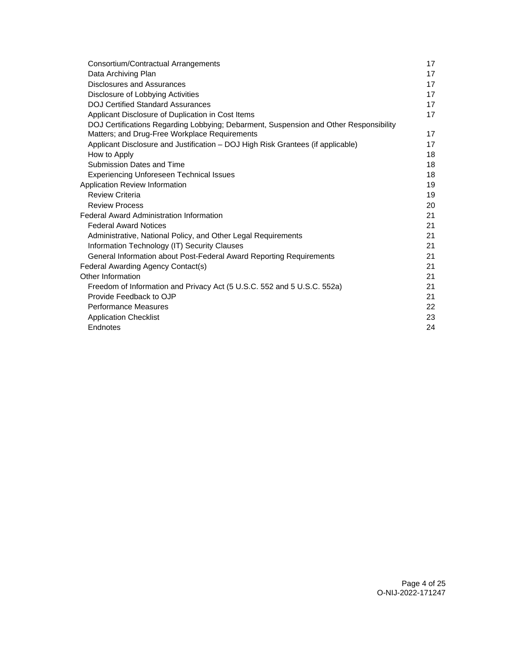| Consortium/Contractual Arrangements                                                   | 17 |
|---------------------------------------------------------------------------------------|----|
| Data Archiving Plan                                                                   | 17 |
| Disclosures and Assurances                                                            | 17 |
| Disclosure of Lobbying Activities                                                     | 17 |
| <b>DOJ Certified Standard Assurances</b>                                              | 17 |
| Applicant Disclosure of Duplication in Cost Items                                     | 17 |
| DOJ Certifications Regarding Lobbying; Debarment, Suspension and Other Responsibility |    |
| Matters; and Drug-Free Workplace Requirements                                         | 17 |
| Applicant Disclosure and Justification - DOJ High Risk Grantees (if applicable)       | 17 |
| How to Apply                                                                          | 18 |
| Submission Dates and Time                                                             | 18 |
| <b>Experiencing Unforeseen Technical Issues</b>                                       | 18 |
| Application Review Information                                                        | 19 |
| <b>Review Criteria</b>                                                                | 19 |
| <b>Review Process</b>                                                                 | 20 |
| <b>Federal Award Administration Information</b>                                       | 21 |
| <b>Federal Award Notices</b>                                                          | 21 |
| Administrative, National Policy, and Other Legal Requirements                         | 21 |
| Information Technology (IT) Security Clauses                                          | 21 |
| General Information about Post-Federal Award Reporting Requirements                   | 21 |
| Federal Awarding Agency Contact(s)                                                    | 21 |
| Other Information                                                                     | 21 |
| Freedom of Information and Privacy Act (5 U.S.C. 552 and 5 U.S.C. 552a)               | 21 |
| Provide Feedback to OJP                                                               | 21 |
| <b>Performance Measures</b>                                                           | 22 |
| <b>Application Checklist</b>                                                          | 23 |
| Endnotes                                                                              | 24 |
|                                                                                       |    |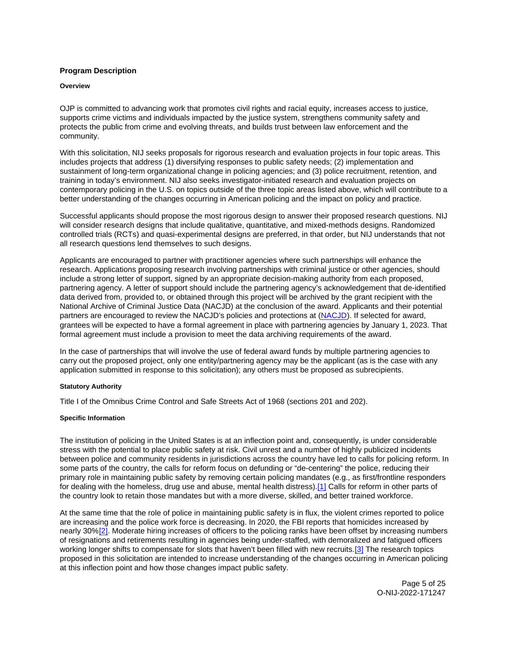## <span id="page-5-0"></span>**Program Description**

#### **Overview**

OJP is committed to advancing work that promotes civil rights and racial equity, increases access to justice, supports crime victims and individuals impacted by the justice system, strengthens community safety and protects the public from crime and evolving threats, and builds trust between law enforcement and the community.

With this solicitation, NIJ seeks proposals for rigorous research and evaluation projects in four topic areas. This includes projects that address (1) diversifying responses to public safety needs; (2) implementation and sustainment of long-term organizational change in policing agencies; and (3) police recruitment, retention, and training in today's environment. NIJ also seeks investigator-initiated research and evaluation projects on contemporary policing in the U.S. on topics outside of the three topic areas listed above, which will contribute to a better understanding of the changes occurring in American policing and the impact on policy and practice.

Successful applicants should propose the most rigorous design to answer their proposed research questions. NIJ will consider research designs that include qualitative, quantitative, and mixed-methods designs. Randomized controlled trials (RCTs) and quasi-experimental designs are preferred, in that order, but NIJ understands that not all research questions lend themselves to such designs.

Applicants are encouraged to partner with practitioner agencies where such partnerships will enhance the research. Applications proposing research involving partnerships with criminal justice or other agencies, should include a strong letter of support, signed by an appropriate decision-making authority from each proposed, partnering agency. A letter of support should include the partnering agency's acknowledgement that de-identified data derived from, provided to, or obtained through this project will be archived by the grant recipient with the National Archive of Criminal Justice Data (NACJD) at the conclusion of the award. Applicants and their potential partners are encouraged to review the NACJD's policies and protections at [\(NACJD\)](https://www.icpsr.umich.edu/web/pages/NACJD/archiving/deposit-nij-data.html). If selected for award, grantees will be expected to have a formal agreement in place with partnering agencies by January 1, 2023. That formal agreement must include a provision to meet the data archiving requirements of the award.

In the case of partnerships that will involve the use of federal award funds by multiple partnering agencies to carry out the proposed project, only one entity/partnering agency may be the applicant (as is the case with any application submitted in response to this solicitation); any others must be proposed as subrecipients.

## **Statutory Authority**

Title I of the Omnibus Crime Control and Safe Streets Act of 1968 (sections 201 and 202).

## **Specific Information**

The institution of policing in the United States is at an inflection point and, consequently, is under considerable stress with the potential to place public safety at risk. Civil unrest and a number of highly publicized incidents between police and community residents in jurisdictions across the country have led to calls for policing reform. In some parts of the country, the calls for reform focus on defunding or "de-centering" the police, reducing their primary role in maintaining public safety by removing certain policing mandates (e.g., as first/frontline responders for dealing with the homeless, drug use and abuse, mental health distress).[\[1\]](#page-24-0) Calls for reform in other parts of the country look to retain those mandates but with a more diverse, skilled, and better trained workforce.

At the same time that the role of police in maintaining public safety is in flux, the violent crimes reported to police are increasing and the police work force is decreasing. In 2020, the FBI reports that homicides increased by nearly 30%[\[2\].](#page-24-0) Moderate hiring increases of officers to the policing ranks have been offset by increasing numbers of resignations and retirements resulting in agencies being under-staffed, with demoralized and fatigued officers working longer shifts to compensate for slots that haven't been filled with new recruits.[\[3\]](#page-24-0) The research topics proposed in this solicitation are intended to increase understanding of the changes occurring in American policing at this inflection point and how those changes impact public safety.

> Page 5 of 25 O-NIJ-2022-171247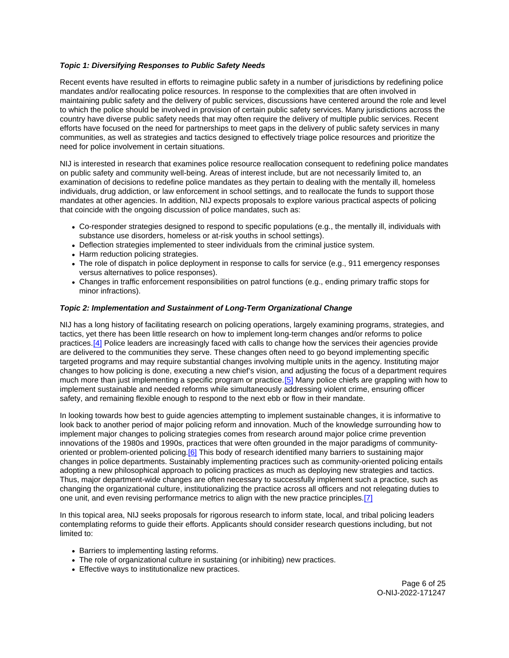## **Topic 1: Diversifying Responses to Public Safety Needs**

Recent events have resulted in efforts to reimagine public safety in a number of jurisdictions by redefining police mandates and/or reallocating police resources. In response to the complexities that are often involved in maintaining public safety and the delivery of public services, discussions have centered around the role and level to which the police should be involved in provision of certain public safety services. Many jurisdictions across the country have diverse public safety needs that may often require the delivery of multiple public services. Recent efforts have focused on the need for partnerships to meet gaps in the delivery of public safety services in many communities, as well as strategies and tactics designed to effectively triage police resources and prioritize the need for police involvement in certain situations.

NIJ is interested in research that examines police resource reallocation consequent to redefining police mandates on public safety and community well-being. Areas of interest include, but are not necessarily limited to, an examination of decisions to redefine police mandates as they pertain to dealing with the mentally ill, homeless individuals, drug addiction, or law enforcement in school settings, and to reallocate the funds to support those mandates at other agencies. In addition, NIJ expects proposals to explore various practical aspects of policing that coincide with the ongoing discussion of police mandates, such as:

- Co-responder strategies designed to respond to specific populations (e.g., the mentally ill, individuals with substance use disorders, homeless or at-risk youths in school settings).
- Deflection strategies implemented to steer individuals from the criminal justice system.
- Harm reduction policing strategies.
- The role of dispatch in police deployment in response to calls for service (e.g., 911 emergency responses versus alternatives to police responses).
- Changes in traffic enforcement responsibilities on patrol functions (e.g., ending primary traffic stops for minor infractions).

## **Topic 2: Implementation and Sustainment of Long-Term Organizational Change**

NIJ has a long history of facilitating research on policing operations, largely examining programs, strategies, and tactics, yet there has been little research on how to implement long-term changes and/or reforms to police practices.<sup>[4]</sup> Police leaders are increasingly faced with calls to change how the services their agencies provide are delivered to the communities they serve. These changes often need to go beyond implementing specific targeted programs and may require substantial changes involving multiple units in the agency. Instituting major changes to how policing is done, executing a new chief's vision, and adjusting the focus of a department requires much more than just implementing a specific program or practice[.\[5\]](#page-25-0) Many police chiefs are grappling with how to implement sustainable and needed reforms while simultaneously addressing violent crime, ensuring officer safety, and remaining flexible enough to respond to the next ebb or flow in their mandate.

In looking towards how best to guide agencies attempting to implement sustainable changes, it is informative to look back to another period of major policing reform and innovation. Much of the knowledge surrounding how to implement major changes to policing strategies comes from research around major police crime prevention innovations of the 1980s and 1990s, practices that were often grounded in the major paradigms of communityoriented or problem-oriented policing[.\[6\]](#page-25-0) This body of research identified many barriers to sustaining major changes in police departments. Sustainably implementing practices such as community-oriented policing entails adopting a new philosophical approach to policing practices as much as deploying new strategies and tactics. Thus, major department-wide changes are often necessary to successfully implement such a practice, such as changing the organizational culture, institutionalizing the practice across all officers and not relegating duties to one unit, and even revising performance metrics to align with the new practice principles.[\[7\]](#page-25-0) 

In this topical area, NIJ seeks proposals for rigorous research to inform state, local, and tribal policing leaders contemplating reforms to guide their efforts. Applicants should consider research questions including, but not limited to:

- Barriers to implementing lasting reforms.
- The role of organizational culture in sustaining (or inhibiting) new practices.
- Effective ways to institutionalize new practices.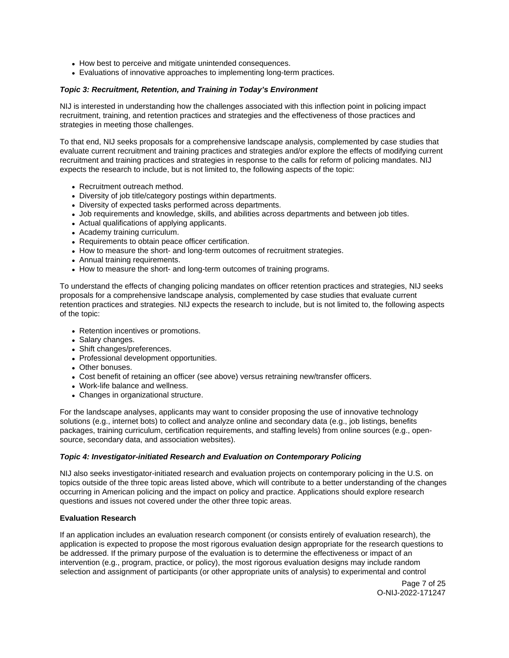- How best to perceive and mitigate unintended consequences.
- Evaluations of innovative approaches to implementing long-term practices.

## **Topic 3: Recruitment, Retention, and Training in Today's Environment**

NIJ is interested in understanding how the challenges associated with this inflection point in policing impact recruitment, training, and retention practices and strategies and the effectiveness of those practices and strategies in meeting those challenges.

To that end, NIJ seeks proposals for a comprehensive landscape analysis, complemented by case studies that evaluate current recruitment and training practices and strategies and/or explore the effects of modifying current recruitment and training practices and strategies in response to the calls for reform of policing mandates. NIJ expects the research to include, but is not limited to, the following aspects of the topic:

- Recruitment outreach method.
- Diversity of job title/category postings within departments.
- Diversity of expected tasks performed across departments.
- Job requirements and knowledge, skills, and abilities across departments and between job titles.
- Actual qualifications of applying applicants.
- Academy training curriculum.
- Requirements to obtain peace officer certification.
- How to measure the short- and long-term outcomes of recruitment strategies.
- Annual training requirements.
- How to measure the short- and long-term outcomes of training programs.

To understand the effects of changing policing mandates on officer retention practices and strategies, NIJ seeks proposals for a comprehensive landscape analysis, complemented by case studies that evaluate current retention practices and strategies. NIJ expects the research to include, but is not limited to, the following aspects of the topic:

- Retention incentives or promotions.
- Salary changes.
- Shift changes/preferences.
- Professional development opportunities.
- Other bonuses.
- Cost benefit of retaining an officer (see above) versus retraining new/transfer officers.
- Work-life balance and wellness.
- Changes in organizational structure.

For the landscape analyses, applicants may want to consider proposing the use of innovative technology solutions (e.g., internet bots) to collect and analyze online and secondary data (e.g., job listings, benefits packages, training curriculum, certification requirements, and staffing levels) from online sources (e.g., opensource, secondary data, and association websites).

## **Topic 4: Investigator-initiated Research and Evaluation on Contemporary Policing**

NIJ also seeks investigator-initiated research and evaluation projects on contemporary policing in the U.S. on topics outside of the three topic areas listed above, which will contribute to a better understanding of the changes occurring in American policing and the impact on policy and practice. Applications should explore research questions and issues not covered under the other three topic areas.

## **Evaluation Research**

If an application includes an evaluation research component (or consists entirely of evaluation research), the application is expected to propose the most rigorous evaluation design appropriate for the research questions to be addressed. If the primary purpose of the evaluation is to determine the effectiveness or impact of an intervention (e.g., program, practice, or policy), the most rigorous evaluation designs may include random selection and assignment of participants (or other appropriate units of analysis) to experimental and control

> Page 7 of 25 O-NIJ-2022-171247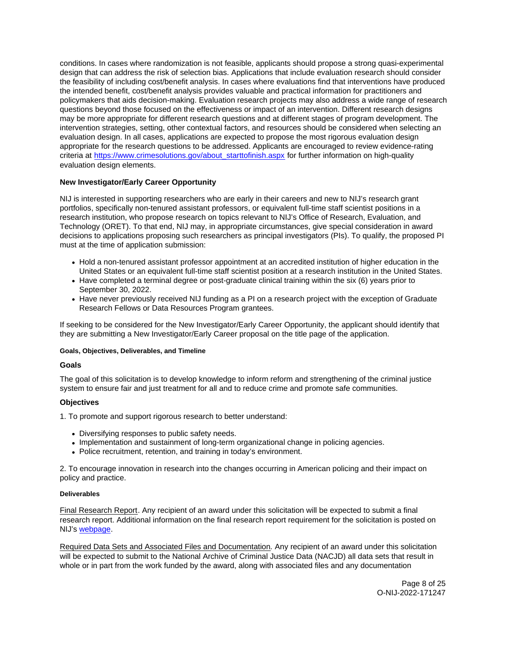<span id="page-8-0"></span>conditions. In cases where randomization is not feasible, applicants should propose a strong quasi-experimental design that can address the risk of selection bias. Applications that include evaluation research should consider the feasibility of including cost/benefit analysis. In cases where evaluations find that interventions have produced the intended benefit, cost/benefit analysis provides valuable and practical information for practitioners and policymakers that aids decision-making. Evaluation research projects may also address a wide range of research questions beyond those focused on the effectiveness or impact of an intervention. Different research designs may be more appropriate for different research questions and at different stages of program development. The intervention strategies, setting, other contextual factors, and resources should be considered when selecting an evaluation design. In all cases, applications are expected to propose the most rigorous evaluation design appropriate for the research questions to be addressed. Applicants are encouraged to review evidence-rating criteria at [https://www.crimesolutions.gov/about\\_starttofinish.aspx](https://www.crimesolutions.gov/about_starttofinish.aspx) for further information on high-quality evaluation design elements.

## **New Investigator/Early Career Opportunity**

NIJ is interested in supporting researchers who are early in their careers and new to NIJ's research grant portfolios, specifically non-tenured assistant professors, or equivalent full-time staff scientist positions in a research institution, who propose research on topics relevant to NIJ's Office of Research, Evaluation, and Technology (ORET). To that end, NIJ may, in appropriate circumstances, give special consideration in award decisions to applications proposing such researchers as principal investigators (PIs). To qualify, the proposed PI must at the time of application submission:

- Hold a non-tenured assistant professor appointment at an accredited institution of higher education in the United States or an equivalent full-time staff scientist position at a research institution in the United States.
- Have completed a terminal degree or post-graduate clinical training within the six (6) years prior to September 30, 2022.
- Have never previously received NIJ funding as a PI on a research project with the exception of Graduate Research Fellows or Data Resources Program grantees.

If seeking to be considered for the New Investigator/Early Career Opportunity, the applicant should identify that they are submitting a New Investigator/Early Career proposal on the title page of the application.

## **Goals, Objectives, Deliverables, and Timeline**

## **Goals**

The goal of this solicitation is to develop knowledge to inform reform and strengthening of the criminal justice system to ensure fair and just treatment for all and to reduce crime and promote safe communities.

## **Objectives**

1. To promote and support rigorous research to better understand:

- Diversifying responses to public safety needs.
- Implementation and sustainment of long-term organizational change in policing agencies.
- Police recruitment, retention, and training in today's environment.

2. To encourage innovation in research into the changes occurring in American policing and their impact on policy and practice.

#### **Deliverables**

Final Research Report. Any recipient of an award under this solicitation will be expected to submit a final research report. Additional information on the final research report requirement for the solicitation is posted on NIJ's [webpage.](https://nij.ojp.gov/funding/research-development-and-evaluation-grant-award-requirements#xp5fv)

Required Data Sets and Associated Files and Documentation. Any recipient of an award under this solicitation will be expected to submit to the National Archive of Criminal Justice Data (NACJD) all data sets that result in whole or in part from the work funded by the award, along with associated files and any documentation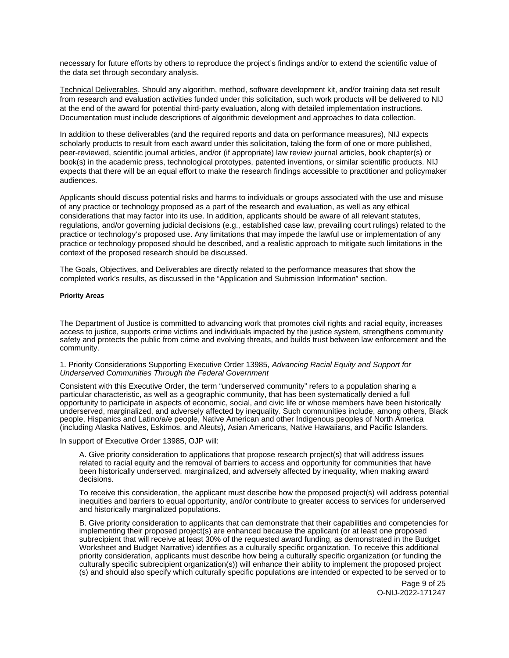<span id="page-9-0"></span>necessary for future efforts by others to reproduce the project's findings and/or to extend the scientific value of the data set through secondary analysis.

Technical Deliverables. Should any algorithm, method, software development kit, and/or training data set result from research and evaluation activities funded under this solicitation, such work products will be delivered to NIJ at the end of the award for potential third-party evaluation, along with detailed implementation instructions. Documentation must include descriptions of algorithmic development and approaches to data collection.

In addition to these deliverables (and the required reports and data on performance measures), NIJ expects scholarly products to result from each award under this solicitation, taking the form of one or more published, peer-reviewed, scientific journal articles, and/or (if appropriate) law review journal articles, book chapter(s) or book(s) in the academic press, technological prototypes, patented inventions, or similar scientific products. NIJ expects that there will be an equal effort to make the research findings accessible to practitioner and policymaker audiences.

Applicants should discuss potential risks and harms to individuals or groups associated with the use and misuse of any practice or technology proposed as a part of the research and evaluation, as well as any ethical considerations that may factor into its use. In addition, applicants should be aware of all relevant statutes, regulations, and/or governing judicial decisions (e.g., established case law, prevailing court rulings) related to the practice or technology's proposed use. Any limitations that may impede the lawful use or implementation of any practice or technology proposed should be described, and a realistic approach to mitigate such limitations in the context of the proposed research should be discussed.

The Goals, Objectives, and Deliverables are directly related to the performance measures that show the completed work's results, as discussed in the "Application and Submission Information" section.

#### **Priority Areas**

The Department of Justice is committed to advancing work that promotes civil rights and racial equity, increases access to justice, supports crime victims and individuals impacted by the justice system, strengthens community safety and protects the public from crime and evolving threats, and builds trust between law enforcement and the community.

## 1. Priority Considerations Supporting Executive Order 13985, Advancing Racial Equity and Support for Underserved Communities Through the Federal Government

Consistent with this Executive Order, the term "underserved community" refers to a population sharing a particular characteristic, as well as a geographic community, that has been systematically denied a full opportunity to participate in aspects of economic, social, and civic life or whose members have been historically underserved, marginalized, and adversely affected by inequality. Such communities include, among others, Black people, Hispanics and Latino/a/e people, Native American and other Indigenous peoples of North America (including Alaska Natives, Eskimos, and Aleuts), Asian Americans, Native Hawaiians, and Pacific Islanders.

In support of Executive Order 13985, OJP will:

A. Give priority consideration to applications that propose research project(s) that will address issues related to racial equity and the removal of barriers to access and opportunity for communities that have been historically underserved, marginalized, and adversely affected by inequality, when making award decisions.

To receive this consideration, the applicant must describe how the proposed project(s) will address potential inequities and barriers to equal opportunity, and/or contribute to greater access to services for underserved and historically marginalized populations.

B. Give priority consideration to applicants that can demonstrate that their capabilities and competencies for implementing their proposed project(s) are enhanced because the applicant (or at least one proposed subrecipient that will receive at least 30% of the requested award funding, as demonstrated in the Budget Worksheet and Budget Narrative) identifies as a culturally specific organization. To receive this additional priority consideration, applicants must describe how being a culturally specific organization (or funding the culturally specific subrecipient organization(s)) will enhance their ability to implement the proposed project (s) and should also specify which culturally specific populations are intended or expected to be served or to

> Page 9 of 25 O-NIJ-2022-171247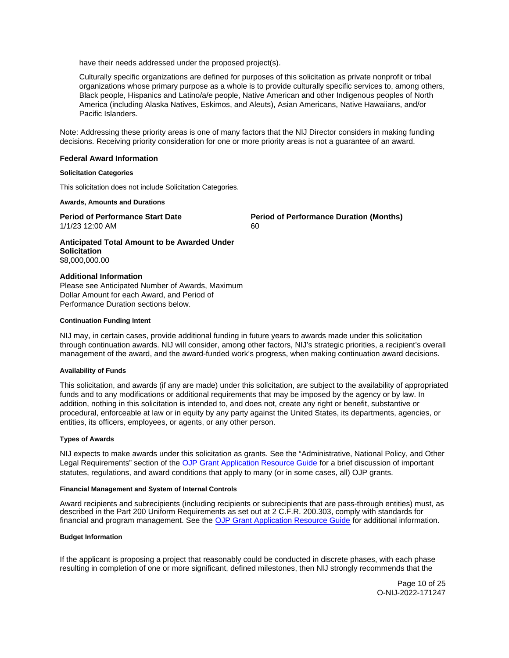<span id="page-10-0"></span>have their needs addressed under the proposed project(s).

Culturally specific organizations are defined for purposes of this solicitation as private nonprofit or tribal organizations whose primary purpose as a whole is to provide culturally specific services to, among others, Black people, Hispanics and Latino/a/e people, Native American and other Indigenous peoples of North America (including Alaska Natives, Eskimos, and Aleuts), Asian Americans, Native Hawaiians, and/or Pacific Islanders.

Note: Addressing these priority areas is one of many factors that the NIJ Director considers in making funding decisions. Receiving priority consideration for one or more priority areas is not a guarantee of an award.

#### **Federal Award Information**

#### **Solicitation Categories**

This solicitation does not include Solicitation Categories.

#### **Awards, Amounts and Durations**

1/1/23 12:00 AM 60

**Period of Performance Start Date**  Period of Performance Duration (Months)

**Anticipated Total Amount to be Awarded Under Solicitation**  \$8,000,000.00

#### **Additional Information**

Please see Anticipated Number of Awards, Maximum Dollar Amount for each Award, and Period of Performance Duration sections below.

#### **Continuation Funding Intent**

NIJ may, in certain cases, provide additional funding in future years to awards made under this solicitation through continuation awards. NIJ will consider, among other factors, NIJ's strategic priorities, a recipient's overall management of the award, and the award-funded work's progress, when making continuation award decisions.

#### **Availability of Funds**

This solicitation, and awards (if any are made) under this solicitation, are subject to the availability of appropriated funds and to any modifications or additional requirements that may be imposed by the agency or by law. In addition, nothing in this solicitation is intended to, and does not, create any right or benefit, substantive or procedural, enforceable at law or in equity by any party against the United States, its departments, agencies, or entities, its officers, employees, or agents, or any other person.

#### **Types of Awards**

NIJ expects to make awards under this solicitation as grants. See the "Administrative, National Policy, and Other Legal Requirements" section of the [OJP Grant Application Resource Guide](https://www.ojp.gov/funding/apply/ojp-grant-application-resource-guide#administrative) for a brief discussion of important statutes, regulations, and award conditions that apply to many (or in some cases, all) OJP grants.

## **Financial Management and System of Internal Controls**

Award recipients and subrecipients (including recipients or subrecipients that are pass-through entities) must, as described in the Part 200 Uniform Requirements as set out at 2 C.F.R. 200.303, comply with standards for financial and program management. See the [OJP Grant Application Resource Guide](https://www.ojp.gov/funding/apply/ojp-grant-application-resource-guide#fm-internal-controls) for additional information.

#### **Budget Information**

If the applicant is proposing a project that reasonably could be conducted in discrete phases, with each phase resulting in completion of one or more significant, defined milestones, then NIJ strongly recommends that the

> Page 10 of 25 O-NIJ-2022-171247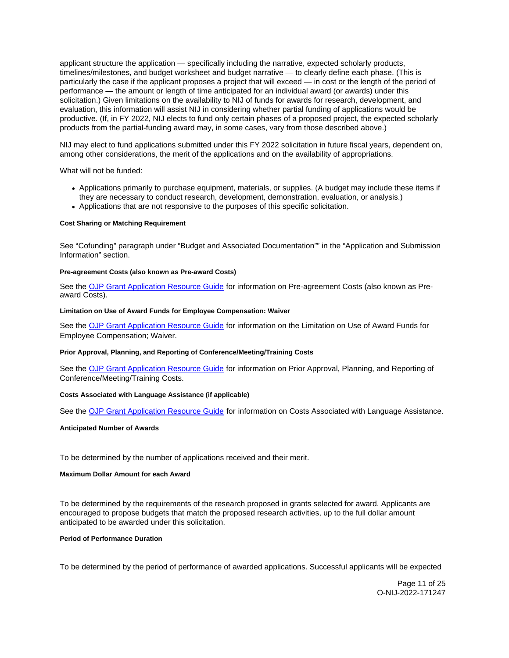<span id="page-11-0"></span>applicant structure the application — specifically including the narrative, expected scholarly products, timelines/milestones, and budget worksheet and budget narrative — to clearly define each phase. (This is particularly the case if the applicant proposes a project that will exceed — in cost or the length of the period of performance — the amount or length of time anticipated for an individual award (or awards) under this solicitation.) Given limitations on the availability to NIJ of funds for awards for research, development, and evaluation, this information will assist NIJ in considering whether partial funding of applications would be productive. (If, in FY 2022, NIJ elects to fund only certain phases of a proposed project, the expected scholarly products from the partial-funding award may, in some cases, vary from those described above.)

NIJ may elect to fund applications submitted under this FY 2022 solicitation in future fiscal years, dependent on, among other considerations, the merit of the applications and on the availability of appropriations.

What will not be funded:

- Applications primarily to purchase equipment, materials, or supplies. (A budget may include these items if they are necessary to conduct research, development, demonstration, evaluation, or analysis.)
- Applications that are not responsive to the purposes of this specific solicitation.

#### **Cost Sharing or Matching Requirement**

See "Cofunding" paragraph under "Budget and Associated Documentation"" in the "Application and Submission Information" section.

#### **Pre-agreement Costs (also known as Pre-award Costs)**

See the [OJP Grant Application Resource Guide](https://www.ojp.gov/funding/apply/ojp-grant-application-resource-guide#pre-agreement-costs) for information on Pre-agreement Costs (also known as Preaward Costs).

#### **Limitation on Use of Award Funds for Employee Compensation: Waiver**

See the [OJP Grant Application Resource Guide](https://www.ojp.gov/funding/apply/ojp-grant-application-resource-guide#limitation-use-award) for information on the Limitation on Use of Award Funds for Employee Compensation; Waiver.

#### **Prior Approval, Planning, and Reporting of Conference/Meeting/Training Costs**

See the [OJP Grant Application Resource Guide](https://www.ojp.gov/funding/apply/ojp-grant-application-resource-guide#prior-approval) for information on Prior Approval, Planning, and Reporting of Conference/Meeting/Training Costs.

## **Costs Associated with Language Assistance (if applicable)**

See the [OJP Grant Application Resource Guide](https://www.ojp.gov/funding/apply/ojp-grant-application-resource-guide#costs-associated) for information on Costs Associated with Language Assistance.

#### **Anticipated Number of Awards**

To be determined by the number of applications received and their merit.

### **Maximum Dollar Amount for each Award**

To be determined by the requirements of the research proposed in grants selected for award. Applicants are encouraged to propose budgets that match the proposed research activities, up to the full dollar amount anticipated to be awarded under this solicitation.

## **Period of Performance Duration**

To be determined by the period of performance of awarded applications. Successful applicants will be expected

Page 11 of 25 O-NIJ-2022-171247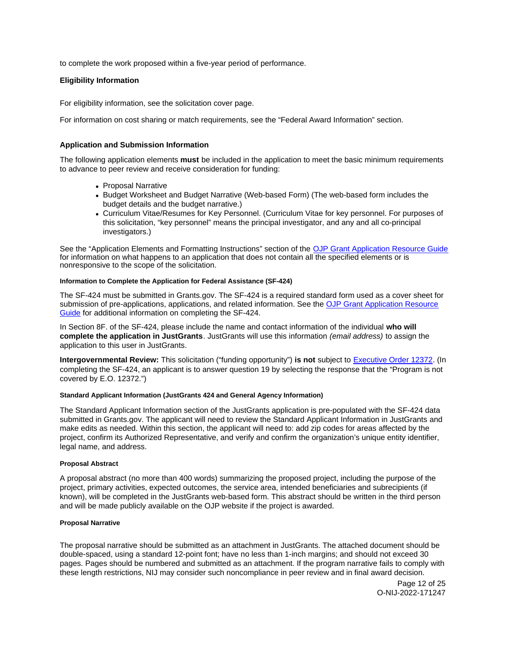<span id="page-12-0"></span>to complete the work proposed within a five-year period of performance.

## **Eligibility Information**

For eligibility information, see the solicitation cover page.

For information on cost sharing or match requirements, see the "Federal Award Information" section.

## **Application and Submission Information**

The following application elements **must** be included in the application to meet the basic minimum requirements to advance to peer review and receive consideration for funding:

- Proposal Narrative
- Budget Worksheet and Budget Narrative (Web-based Form) (The web-based form includes the budget details and the budget narrative.)
- Curriculum Vitae/Resumes for Key Personnel. (Curriculum Vitae for key personnel. For purposes of this solicitation, "key personnel" means the principal investigator, and any and all co-principal investigators.)

See the "Application Elements and Formatting Instructions" section of the [OJP Grant Application Resource Guide](https://www.ojp.gov/funding/apply/ojp-grant-application-resource-guide#application-elements)  for information on what happens to an application that does not contain all the specified elements or is nonresponsive to the scope of the solicitation.

## **Information to Complete the Application for Federal Assistance (SF-424)**

The SF-424 must be submitted in [Grants.gov](https://Grants.gov). The SF-424 is a required standard form used as a cover sheet for submission of pre-applications, applications, and related information. See the OJP Grant Application Resource [Guide](https://www.ojp.gov/funding/apply/ojp-grant-application-resource-guide#complete-application) for additional information on completing the SF-424.

In Section 8F. of the SF-424, please include the name and contact information of the individual **who will complete the application in JustGrants**. JustGrants will use this information (email address) to assign the application to this user in JustGrants.

**Intergovernmental Review:** This solicitation ("funding opportunity") **is not** subject to [Executive Order 12372.](https://www.archives.gov/federal-register/codification/executive-order/12372.html) (In completing the SF-424, an applicant is to answer question 19 by selecting the response that the "Program is not covered by E.O. 12372.")

## **Standard Applicant Information (JustGrants 424 and General Agency Information)**

The Standard Applicant Information section of the JustGrants application is pre-populated with the SF-424 data submitted in [Grants.gov.](https://Grants.gov) The applicant will need to review the Standard Applicant Information in JustGrants and make edits as needed. Within this section, the applicant will need to: add zip codes for areas affected by the project, confirm its Authorized Representative, and verify and confirm the organization's unique entity identifier, legal name, and address.

## **Proposal Abstract**

A proposal abstract (no more than 400 words) summarizing the proposed project, including the purpose of the project, primary activities, expected outcomes, the service area, intended beneficiaries and subrecipients (if known), will be completed in the JustGrants web-based form. This abstract should be written in the third person and will be made publicly available on the OJP website if the project is awarded.

#### **Proposal Narrative**

The proposal narrative should be submitted as an attachment in JustGrants. The attached document should be double-spaced, using a standard 12-point font; have no less than 1-inch margins; and should not exceed 30 pages. Pages should be numbered and submitted as an attachment. If the program narrative fails to comply with these length restrictions, NIJ may consider such noncompliance in peer review and in final award decision.

> Page 12 of 25 O-NIJ-2022-171247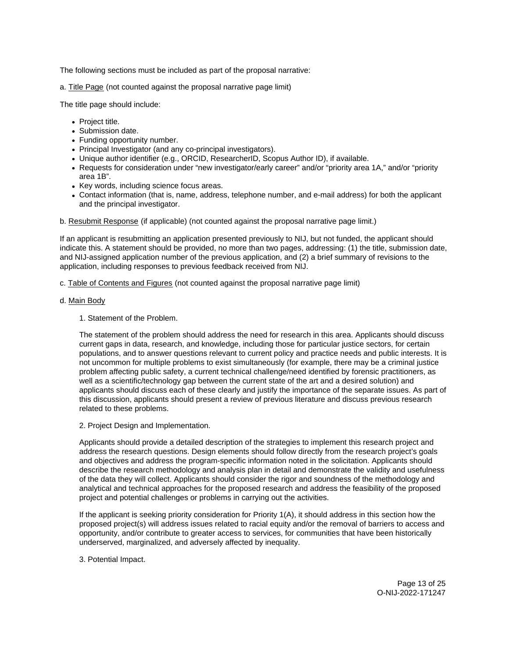The following sections must be included as part of the proposal narrative:

a. Title Page (not counted against the proposal narrative page limit)

The title page should include:

- Project title.
- Submission date.
- Funding opportunity number.
- Principal Investigator (and any co-principal investigators).
- Unique author identifier (e.g., ORCID, ResearcherID, Scopus Author ID), if available.
- Requests for consideration under "new investigator/early career" and/or "priority area 1A," and/or "priority area 1B".
- Key words, including science focus areas.
- Contact information (that is, name, address, telephone number, and e-mail address) for both the applicant and the principal investigator.

b. Resubmit Response (if applicable) (not counted against the proposal narrative page limit.)

If an applicant is resubmitting an application presented previously to NIJ, but not funded, the applicant should indicate this. A statement should be provided, no more than two pages, addressing: (1) the title, submission date, and NIJ-assigned application number of the previous application, and (2) a brief summary of revisions to the application, including responses to previous feedback received from NIJ.

c. Table of Contents and Figures (not counted against the proposal narrative page limit)

## d. Main Body

1. Statement of the Problem.

The statement of the problem should address the need for research in this area. Applicants should discuss current gaps in data, research, and knowledge, including those for particular justice sectors, for certain populations, and to answer questions relevant to current policy and practice needs and public interests. It is not uncommon for multiple problems to exist simultaneously (for example, there may be a criminal justice problem affecting public safety, a current technical challenge/need identified by forensic practitioners, as well as a scientific/technology gap between the current state of the art and a desired solution) and applicants should discuss each of these clearly and justify the importance of the separate issues. As part of this discussion, applicants should present a review of previous literature and discuss previous research related to these problems.

2. Project Design and Implementation.

Applicants should provide a detailed description of the strategies to implement this research project and address the research questions. Design elements should follow directly from the research project's goals and objectives and address the program-specific information noted in the solicitation. Applicants should describe the research methodology and analysis plan in detail and demonstrate the validity and usefulness of the data they will collect. Applicants should consider the rigor and soundness of the methodology and analytical and technical approaches for the proposed research and address the feasibility of the proposed project and potential challenges or problems in carrying out the activities.

If the applicant is seeking priority consideration for Priority 1(A), it should address in this section how the proposed project(s) will address issues related to racial equity and/or the removal of barriers to access and opportunity, and/or contribute to greater access to services, for communities that have been historically underserved, marginalized, and adversely affected by inequality.

3. Potential Impact.

Page 13 of 25 O-NIJ-2022-171247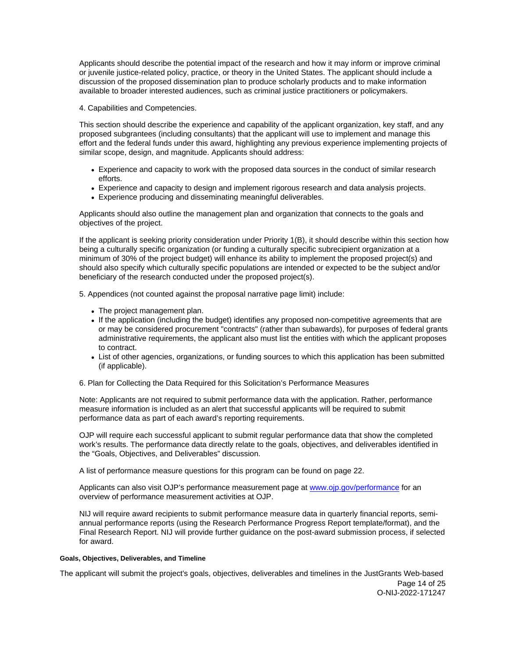<span id="page-14-0"></span>Applicants should describe the potential impact of the research and how it may inform or improve criminal or juvenile justice-related policy, practice, or theory in the United States. The applicant should include a discussion of the proposed dissemination plan to produce scholarly products and to make information available to broader interested audiences, such as criminal justice practitioners or policymakers.

## 4. Capabilities and Competencies.

This section should describe the experience and capability of the applicant organization, key staff, and any proposed subgrantees (including consultants) that the applicant will use to implement and manage this effort and the federal funds under this award, highlighting any previous experience implementing projects of similar scope, design, and magnitude. Applicants should address:

- Experience and capacity to work with the proposed data sources in the conduct of similar research efforts.
- Experience and capacity to design and implement rigorous research and data analysis projects.
- Experience producing and disseminating meaningful deliverables.

Applicants should also outline the management plan and organization that connects to the goals and objectives of the project.

If the applicant is seeking priority consideration under Priority 1(B), it should describe within this section how being a culturally specific organization (or funding a culturally specific subrecipient organization at a minimum of 30% of the project budget) will enhance its ability to implement the proposed project(s) and should also specify which culturally specific populations are intended or expected to be the subject and/or beneficiary of the research conducted under the proposed project(s).

5. Appendices (not counted against the proposal narrative page limit) include:

- The project management plan.
- If the application (including the budget) identifies any proposed non-competitive agreements that are or may be considered procurement "contracts" (rather than subawards), for purposes of federal grants administrative requirements, the applicant also must list the entities with which the applicant proposes to contract.
- List of other agencies, organizations, or funding sources to which this application has been submitted (if applicable).

6. Plan for Collecting the Data Required for this Solicitation's Performance Measures

Note: Applicants are not required to submit performance data with the application. Rather, performance measure information is included as an alert that successful applicants will be required to submit performance data as part of each award's reporting requirements.

OJP will require each successful applicant to submit regular performance data that show the completed work's results. The performance data directly relate to the goals, objectives, and deliverables identified in the "Goals, Objectives, and Deliverables" discussion.

A list of performance measure questions for this program can be found on page 22.

Applicants can also visit OJP's performance measurement page at [www.ojp.gov/performance](https://www.ojp.gov/performance) for an overview of performance measurement activities at OJP.

NIJ will require award recipients to submit performance measure data in quarterly financial reports, semiannual performance reports (using the Research Performance Progress Report template/format), and the Final Research Report. NIJ will provide further guidance on the post-award submission process, if selected for award.

## **Goals, Objectives, Deliverables, and Timeline**

The applicant will submit the project's goals, objectives, deliverables and timelines in the JustGrants Web-based

Page 14 of 25 O-NIJ-2022-171247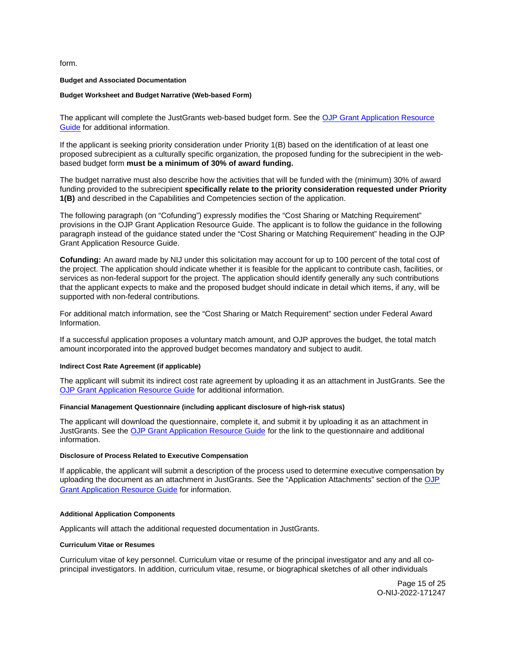<span id="page-15-0"></span>form.

#### **Budget and Associated Documentation**

#### **Budget Worksheet and Budget Narrative (Web-based Form)**

The applicant will complete the JustGrants web-based budget form. See the [OJP Grant Application Resource](https://ojp.gov/funding/Apply/Resources/Grant-App-Resource-Guide.htm)  [Guide](https://ojp.gov/funding/Apply/Resources/Grant-App-Resource-Guide.htm) for additional information.

If the applicant is seeking priority consideration under Priority 1(B) based on the identification of at least one proposed subrecipient as a culturally specific organization, the proposed funding for the subrecipient in the webbased budget form **must be a minimum of 30% of award funding.** 

The budget narrative must also describe how the activities that will be funded with the (minimum) 30% of award funding provided to the subrecipient **specifically relate to the priority consideration requested under Priority 1(B)** and described in the Capabilities and Competencies section of the application.

The following paragraph (on "Cofunding") expressly modifies the "Cost Sharing or Matching Requirement" provisions in the OJP Grant Application Resource Guide. The applicant is to follow the guidance in the following paragraph instead of the guidance stated under the "Cost Sharing or Matching Requirement" heading in the OJP Grant Application Resource Guide.

**Cofunding:** An award made by NIJ under this solicitation may account for up to 100 percent of the total cost of the project. The application should indicate whether it is feasible for the applicant to contribute cash, facilities, or services as non-federal support for the project. The application should identify generally any such contributions that the applicant expects to make and the proposed budget should indicate in detail which items, if any, will be supported with non-federal contributions.

For additional match information, see the "Cost Sharing or Match Requirement" section under Federal Award Information.

If a successful application proposes a voluntary match amount, and OJP approves the budget, the total match amount incorporated into the approved budget becomes mandatory and subject to audit.

#### **Indirect Cost Rate Agreement (if applicable)**

The applicant will submit its indirect cost rate agreement by uploading it as an attachment in JustGrants. See the [OJP Grant Application Resource Guide](https://www.ojp.gov/funding/apply/ojp-grant-application-resource-guide#indirect-cost) for additional information.

#### **Financial Management Questionnaire (including applicant disclosure of high-risk status)**

The applicant will download the questionnaire, complete it, and submit it by uploading it as an attachment in JustGrants. See the [OJP Grant Application Resource Guide](https://www.ojp.gov/funding/apply/ojp-grant-application-resource-guide#fm-internal-controls-questionnaire) for the link to the questionnaire and additional information.

#### **Disclosure of Process Related to Executive Compensation**

If applicable, the applicant will submit a description of the process used to determine executive compensation by uploading the document as an attachment in JustGrants. See the "Application Attachments" section of the [OJP](https://www.ojp.gov/funding/apply/ojp-grant-application-resource-guide#disclosure-process-executive)  [Grant Application Resource Guide](https://www.ojp.gov/funding/apply/ojp-grant-application-resource-guide#disclosure-process-executive) for information.

#### **Additional Application Components**

Applicants will attach the additional requested documentation in JustGrants.

#### **Curriculum Vitae or Resumes**

Curriculum vitae of key personnel. Curriculum vitae or resume of the principal investigator and any and all coprincipal investigators. In addition, curriculum vitae, resume, or biographical sketches of all other individuals

> Page 15 of 25 O-NIJ-2022-171247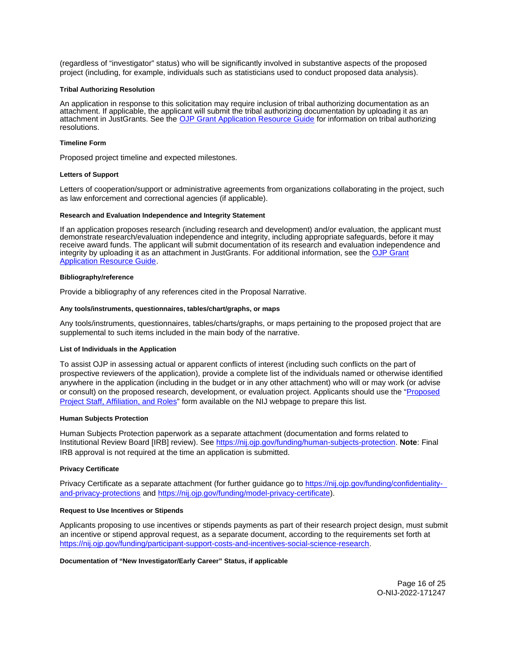<span id="page-16-0"></span>(regardless of "investigator" status) who will be significantly involved in substantive aspects of the proposed project (including, for example, individuals such as statisticians used to conduct proposed data analysis).

#### **Tribal Authorizing Resolution**

An application in response to this solicitation may require inclusion of tribal authorizing documentation as an attachment. If applicable, the applicant will submit the tribal authorizing documentation by uploading it as an attachment in JustGrants. See the [OJP Grant Application Resource Guide](https://www.ojp.gov/funding/apply/ojp-grant-application-resource-guide#tribal-authorizing-resolution) for information on tribal authorizing resolutions.

#### **Timeline Form**

Proposed project timeline and expected milestones.

#### **Letters of Support**

Letters of cooperation/support or administrative agreements from organizations collaborating in the project, such as law enforcement and correctional agencies (if applicable).

#### **Research and Evaluation Independence and Integrity Statement**

If an application proposes research (including research and development) and/or evaluation, the applicant must demonstrate research/evaluation independence and integrity, including appropriate safeguards, before it may receive award funds. The applicant will submit documentation of its research and evaluation independence and integrity by uploading it as an attachment in JustGrants. For additional information, see the [OJP Grant](https://www.ojp.gov/funding/apply/ojp-grant-application-resource-guide#research-evaluation)  [Application Resource Guide.](https://www.ojp.gov/funding/apply/ojp-grant-application-resource-guide#research-evaluation)

#### **Bibliography/reference**

Provide a bibliography of any references cited in the Proposal Narrative.

#### **Any tools/instruments, questionnaires, tables/chart/graphs, or maps**

Any tools/instruments, questionnaires, tables/charts/graphs, or maps pertaining to the proposed project that are supplemental to such items included in the main body of the narrative.

#### **List of Individuals in the Application**

To assist OJP in assessing actual or apparent conflicts of interest (including such conflicts on the part of prospective reviewers of the application), provide a complete list of the individuals named or otherwise identified anywhere in the application (including in the budget or in any other attachment) who will or may work (or advise or consult) on the proposed research, development, or evaluation project. Applicants should use the ["Proposed](http://nij.ojp.gov/sites/g/files/xyckuh171/files/media/document/nij-project-staff-template.xlsx)  [Project Staff, Affiliation, and Roles"](http://nij.ojp.gov/sites/g/files/xyckuh171/files/media/document/nij-project-staff-template.xlsx) form available on the NIJ webpage to prepare this list.

#### **Human Subjects Protection**

Human Subjects Protection paperwork as a separate attachment (documentation and forms related to Institutional Review Board [IRB] review). See [https://nij.ojp.gov/funding/human-subjects-protection.](https://nij.ojp.gov/funding/human-subjects-protection) **Note**: Final IRB approval is not required at the time an application is submitted.

#### **Privacy Certificate**

Privacy Certificate as a separate attachment (for further guidance go to [https://nij.ojp.gov/funding/confidentiality](https://nij.ojp.gov/funding/confidentiality-and-privacy-protections)[and-privacy-protections](https://nij.ojp.gov/funding/confidentiality-and-privacy-protections) and [https://nij.ojp.gov/funding/model-privacy-certificate\)](https://nij.ojp.gov/funding/model-privacy-certificate).

#### **Request to Use Incentives or Stipends**

Applicants proposing to use incentives or stipends payments as part of their research project design, must submit an incentive or stipend approval request, as a separate document, according to the requirements set forth at [https://nij.ojp.gov/funding/participant-support-costs-and-incentives-social-science-research.](https://nij.ojp.gov/funding/participant-support-costs-and-incentives-social-science-research)

#### **Documentation of "New Investigator/Early Career" Status, if applicable**

Page 16 of 25 O-NIJ-2022-171247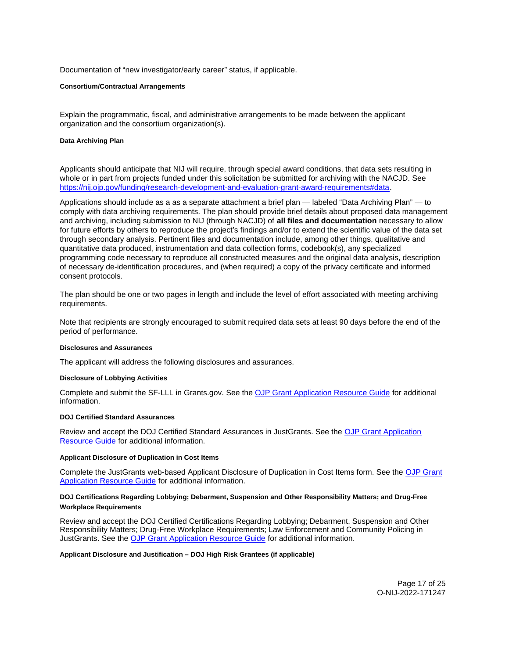<span id="page-17-0"></span>Documentation of "new investigator/early career" status, if applicable.

#### **Consortium/Contractual Arrangements**

Explain the programmatic, fiscal, and administrative arrangements to be made between the applicant organization and the consortium organization(s).

## **Data Archiving Plan**

Applicants should anticipate that NIJ will require, through special award conditions, that data sets resulting in whole or in part from projects funded under this solicitation be submitted for archiving with the NACJD. See [https://nij.ojp.gov/funding/research-development-and-evaluation-grant-award-requirements#data.](https://nij.ojp.gov/funding/research-development-and-evaluation-grant-award-requirements#data)

Applications should include as a as a separate attachment a brief plan — labeled "Data Archiving Plan" — to comply with data archiving requirements. The plan should provide brief details about proposed data management and archiving, including submission to NIJ (through NACJD) of **all files and documentation** necessary to allow for future efforts by others to reproduce the project's findings and/or to extend the scientific value of the data set through secondary analysis. Pertinent files and documentation include, among other things, qualitative and quantitative data produced, instrumentation and data collection forms, codebook(s), any specialized programming code necessary to reproduce all constructed measures and the original data analysis, description of necessary de-identification procedures, and (when required) a copy of the privacy certificate and informed consent protocols.

The plan should be one or two pages in length and include the level of effort associated with meeting archiving requirements.

Note that recipients are strongly encouraged to submit required data sets at least 90 days before the end of the period of performance.

#### **Disclosures and Assurances**

The applicant will address the following disclosures and assurances.

#### **Disclosure of Lobbying Activities**

Complete and submit the SF-LLL in [Grants.gov.](https://Grants.gov) See the [OJP Grant Application Resource Guide](https://www.ojp.gov/funding/apply/ojp-grant-application-resource-guide#disclosure-lobby) for additional information.

#### **DOJ Certified Standard Assurances**

Review and accept the DOJ Certified Standard Assurances in JustGrants. See the [OJP Grant Application](https://www.ojp.gov/funding/apply/ojp-grant-application-resource-guide#administrative)  [Resource Guide](https://www.ojp.gov/funding/apply/ojp-grant-application-resource-guide#administrative) for additional information.

#### **Applicant Disclosure of Duplication in Cost Items**

Complete the JustGrants web-based Applicant Disclosure of Duplication in Cost Items form. See the [OJP Grant](https://www.ojp.gov/funding/apply/ojp-grant-application-resource-guide#applicant-disclosure-pending-applications)  [Application Resource Guide](https://www.ojp.gov/funding/apply/ojp-grant-application-resource-guide#applicant-disclosure-pending-applications) for additional information.

## **DOJ Certifications Regarding Lobbying; Debarment, Suspension and Other Responsibility Matters; and Drug-Free Workplace Requirements**

Review and accept the DOJ Certified Certifications Regarding Lobbying; Debarment, Suspension and Other Responsibility Matters; Drug-Free Workplace Requirements; Law Enforcement and Community Policing in JustGrants. See the [OJP Grant Application Resource Guide](https://www.ojp.gov/funding/apply/ojp-grant-application-resource-guide#administrative) for additional information.

#### **Applicant Disclosure and Justification – DOJ High Risk Grantees (if applicable)**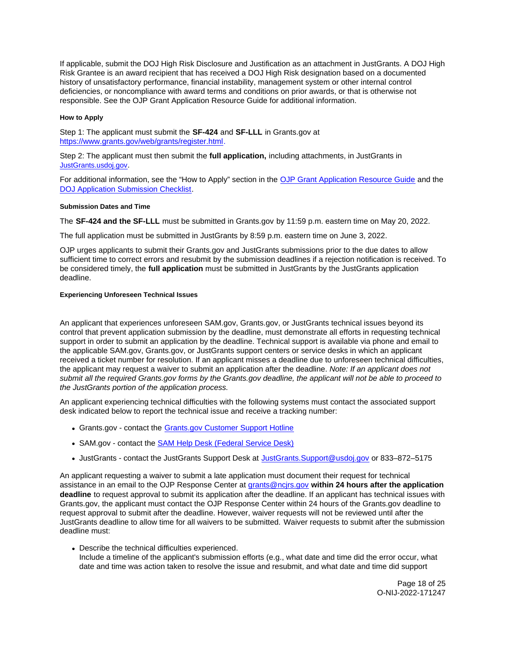<span id="page-18-0"></span>If applicable, submit the DOJ High Risk Disclosure and Justification as an attachment in JustGrants. A DOJ High Risk Grantee is an award recipient that has received a DOJ High Risk designation based on a documented history of unsatisfactory performance, financial instability, management system or other internal control deficiencies, or noncompliance with award terms and conditions on prior awards, or that is otherwise not responsible. See the OJP Grant Application Resource Guide for additional information.

## **How to Apply**

Step 1: The applicant must submit the **SF-424** and **SF-LLL** in [Grants.gov](https://Grants.gov) at [https://www.grants.gov/web/grants/register.html.](https://www.grants.gov/web/grants/register.html)

Step 2: The applicant must then submit the **full application,** including attachments, in JustGrants in [JustGrants.usdoj.gov.](https://justicegrants.usdoj.gov/)

For additional information, see the "How to Apply" section in the [OJP Grant Application Resource Guide](https://www.ojp.gov/funding/apply/ojp-grant-application-resource-guide#apply) and the [DOJ Application Submission Checklist.](https://justicegrants.usdoj.gov/sites/g/files/xyckuh296/files/media/document/appln-submission-checklist.pdf)

## **Submission Dates and Time**

The **SF-424 and the SF-LLL** must be submitted in [Grants.gov](https://Grants.gov) by 11:59 p.m. eastern time on May 20, 2022.

The full application must be submitted in JustGrants by 8:59 p.m. eastern time on June 3, 2022.

OJP urges applicants to submit their [Grants.gov](https://Grants.gov) and JustGrants submissions prior to the due dates to allow sufficient time to correct errors and resubmit by the submission deadlines if a rejection notification is received. To be considered timely, the **full application** must be submitted in JustGrants by the JustGrants application deadline.

## **Experiencing Unforeseen Technical Issues**

An applicant that experiences unforeseen SAM.gov, [Grants.gov,](https://Grants.gov) or JustGrants technical issues beyond its control that prevent application submission by the deadline, must demonstrate all efforts in requesting technical support in order to submit an application by the deadline. Technical support is available via phone and email to the applicable SAM.gov, [Grants.gov,](https://Grants.gov) or JustGrants support centers or service desks in which an applicant received a ticket number for resolution. If an applicant misses a deadline due to unforeseen technical difficulties, the applicant may request a waiver to submit an application after the deadline. Note: If an applicant does not submit all the required [Grants.gov](https://Grants.gov) forms by the [Grants.gov](https://Grants.gov) deadline, the applicant will not be able to proceed to the JustGrants portion of the application process.

An applicant experiencing technical difficulties with the following systems must contact the associated support desk indicated below to report the technical issue and receive a tracking number:

- [Grants.gov](https://Grants.gov)  contact the [Grants.gov Customer Support Hotline](https://www.grants.gov/web/grants/support.html)
- SAM.gov contact the [SAM Help Desk \(Federal Service Desk\)](https://www.fsd.gov/gsafsd_sp)
- JustGrants contact the JustGrants Support Desk at [JustGrants.Support@usdoj.gov](mailto:JustGrants.Support@usdoj.gov) or 833–872–5175

An applicant requesting a waiver to submit a late application must document their request for technical assistance in an email to the OJP Response Center at [grants@ncjrs.gov](file:///C:/Users/local_Yehj/INetCache/Content.Outlook/20U4XBR7/grants@ncjrs.gov) **within 24 hours after the application deadline** to request approval to submit its application after the deadline. If an applicant has technical issues with [Grants.gov,](https://Grants.gov) the applicant must contact the OJP Response Center within 24 hours of the [Grants.gov](https://Grants.gov) deadline to request approval to submit after the deadline. However, waiver requests will not be reviewed until after the JustGrants deadline to allow time for all waivers to be submitted. Waiver requests to submit after the submission deadline must:

Describe the technical difficulties experienced. Include a timeline of the applicant's submission efforts (e.g., what date and time did the error occur, what date and time was action taken to resolve the issue and resubmit, and what date and time did support

> Page 18 of 25 O-NIJ-2022-171247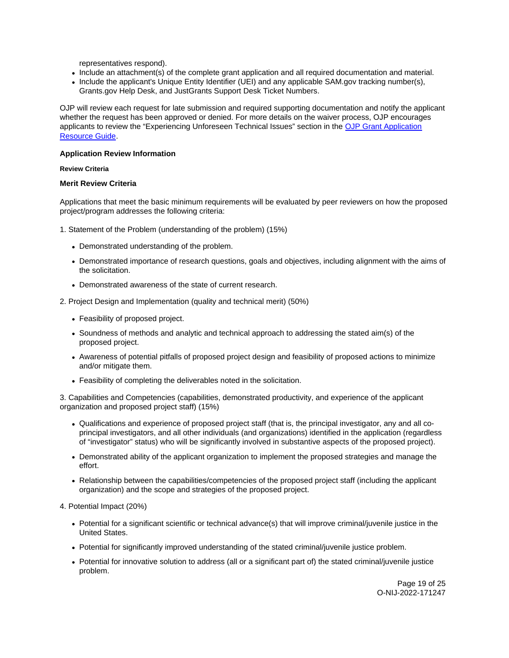representatives respond).

- <span id="page-19-0"></span>Include an attachment(s) of the complete grant application and all required documentation and material.
- Include the applicant's Unique Entity Identifier (UEI) and any applicable SAM.gov tracking number(s), [Grants.gov](https://Grants.gov) Help Desk, and JustGrants Support Desk Ticket Numbers.

OJP will review each request for late submission and required supporting documentation and notify the applicant whether the request has been approved or denied. For more details on the waiver process, OJP encourages applicants to review the "Experiencing Unforeseen Technical Issues" section in the [OJP Grant Application](https://www.ojp.gov/funding/apply/ojp-grant-application-resource-guide#experiencing-unforeseen-technical-issues)  [Resource Guide.](https://www.ojp.gov/funding/apply/ojp-grant-application-resource-guide#experiencing-unforeseen-technical-issues)

## **Application Review Information**

## **Review Criteria**

## **Merit Review Criteria**

Applications that meet the basic minimum requirements will be evaluated by peer reviewers on how the proposed project/program addresses the following criteria:

- 1. Statement of the Problem (understanding of the problem) (15%)
	- Demonstrated understanding of the problem.
	- Demonstrated importance of research questions, goals and objectives, including alignment with the aims of the solicitation.
	- Demonstrated awareness of the state of current research.
- 2. Project Design and Implementation (quality and technical merit) (50%)
	- Feasibility of proposed project.
	- Soundness of methods and analytic and technical approach to addressing the stated aim(s) of the proposed project.
	- Awareness of potential pitfalls of proposed project design and feasibility of proposed actions to minimize and/or mitigate them.
	- Feasibility of completing the deliverables noted in the solicitation.

3. Capabilities and Competencies (capabilities, demonstrated productivity, and experience of the applicant organization and proposed project staff) (15%)

- Qualifications and experience of proposed project staff (that is, the principal investigator, any and all coprincipal investigators, and all other individuals (and organizations) identified in the application (regardless of "investigator" status) who will be significantly involved in substantive aspects of the proposed project).
- Demonstrated ability of the applicant organization to implement the proposed strategies and manage the effort.
- Relationship between the capabilities/competencies of the proposed project staff (including the applicant organization) and the scope and strategies of the proposed project.

#### 4. Potential Impact (20%)

- Potential for a significant scientific or technical advance(s) that will improve criminal/juvenile justice in the United States.
- Potential for significantly improved understanding of the stated criminal/juvenile justice problem.
- Potential for innovative solution to address (all or a significant part of) the stated criminal/juvenile justice problem.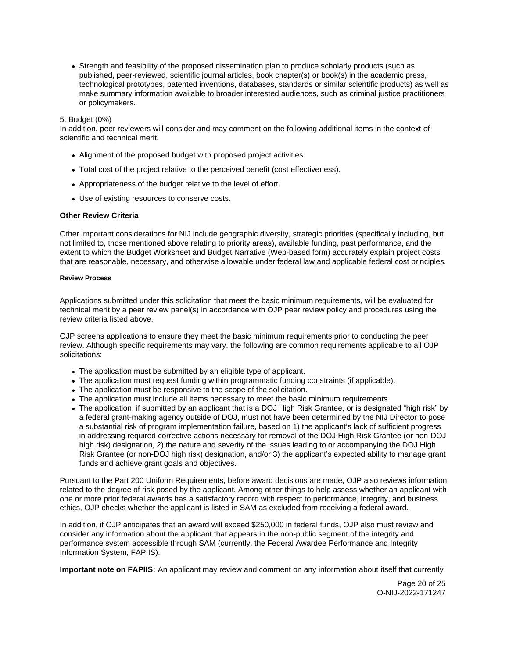<span id="page-20-0"></span>• Strength and feasibility of the proposed dissemination plan to produce scholarly products (such as published, peer-reviewed, scientific journal articles, book chapter(s) or book(s) in the academic press, technological prototypes, patented inventions, databases, standards or similar scientific products) as well as make summary information available to broader interested audiences, such as criminal justice practitioners or policymakers.

## 5. Budget (0%)

In addition, peer reviewers will consider and may comment on the following additional items in the context of scientific and technical merit.

- Alignment of the proposed budget with proposed project activities.
- Total cost of the project relative to the perceived benefit (cost effectiveness).
- Appropriateness of the budget relative to the level of effort.
- Use of existing resources to conserve costs.

## **Other Review Criteria**

Other important considerations for NIJ include geographic diversity, strategic priorities (specifically including, but not limited to, those mentioned above relating to priority areas), available funding, past performance, and the extent to which the Budget Worksheet and Budget Narrative (Web-based form) accurately explain project costs that are reasonable, necessary, and otherwise allowable under federal law and applicable federal cost principles.

#### **Review Process**

Applications submitted under this solicitation that meet the basic minimum requirements, will be evaluated for technical merit by a peer review panel(s) in accordance with OJP peer review policy and procedures using the review criteria listed above.

OJP screens applications to ensure they meet the basic minimum requirements prior to conducting the peer review. Although specific requirements may vary, the following are common requirements applicable to all OJP solicitations:

- The application must be submitted by an eligible type of applicant.
- The application must request funding within programmatic funding constraints (if applicable).
- The application must be responsive to the scope of the solicitation.
- The application must include all items necessary to meet the basic minimum requirements.
- The application, if submitted by an applicant that is a DOJ High Risk Grantee, or is designated "high risk" by a federal grant-making agency outside of DOJ, must not have been determined by the NIJ Director to pose a substantial risk of program implementation failure, based on 1) the applicant's lack of sufficient progress in addressing required corrective actions necessary for removal of the DOJ High Risk Grantee (or non-DOJ high risk) designation, 2) the nature and severity of the issues leading to or accompanying the DOJ High Risk Grantee (or non-DOJ high risk) designation, and/or 3) the applicant's expected ability to manage grant funds and achieve grant goals and objectives.

Pursuant to the Part 200 Uniform Requirements, before award decisions are made, OJP also reviews information related to the degree of risk posed by the applicant. Among other things to help assess whether an applicant with one or more prior federal awards has a satisfactory record with respect to performance, integrity, and business ethics, OJP checks whether the applicant is listed in SAM as excluded from receiving a federal award.

In addition, if OJP anticipates that an award will exceed \$250,000 in federal funds, OJP also must review and consider any information about the applicant that appears in the non-public segment of the integrity and performance system accessible through SAM (currently, the Federal Awardee Performance and Integrity Information System, FAPIIS).

**Important note on FAPIIS:** An applicant may review and comment on any information about itself that currently

Page 20 of 25 O-NIJ-2022-171247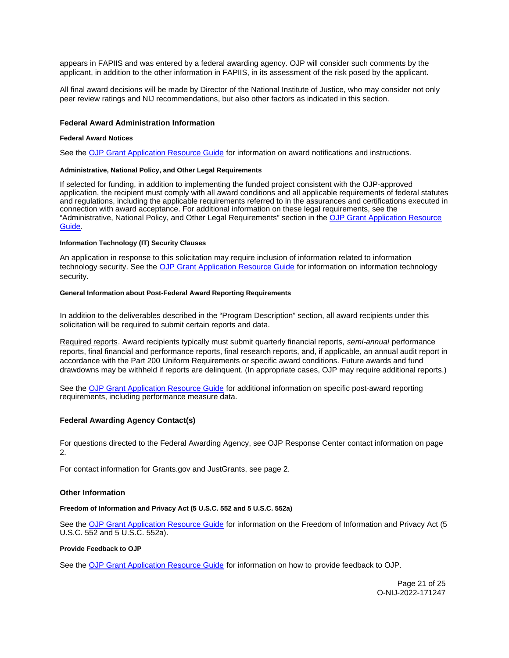<span id="page-21-0"></span>appears in FAPIIS and was entered by a federal awarding agency. OJP will consider such comments by the applicant, in addition to the other information in FAPIIS, in its assessment of the risk posed by the applicant.

All final award decisions will be made by Director of the National Institute of Justice, who may consider not only peer review ratings and NIJ recommendations, but also other factors as indicated in this section.

## **Federal Award Administration Information**

#### **Federal Award Notices**

See the [OJP Grant Application Resource Guide](https://www.ojp.gov/funding/apply/ojp-grant-application-resource-guide#federal-award-notices) for information on award notifications and instructions.

#### **Administrative, National Policy, and Other Legal Requirements**

If selected for funding, in addition to implementing the funded project consistent with the OJP-approved application, the recipient must comply with all award conditions and all applicable requirements of federal statutes and regulations, including the applicable requirements referred to in the assurances and certifications executed in connection with award acceptance. For additional information on these legal requirements, see the "Administrative, National Policy, and Other Legal Requirements" section in the [OJP Grant Application Resource](https://www.ojp.gov/funding/apply/ojp-grant-application-resource-guide#administrative)  [Guide.](https://www.ojp.gov/funding/apply/ojp-grant-application-resource-guide#administrative)

### **Information Technology (IT) Security Clauses**

An application in response to this solicitation may require inclusion of information related to information technology security. See the [OJP Grant Application Resource Guide](https://www.ojp.gov/funding/apply/ojp-grant-application-resource-guide#information-technology) for information on information technology security.

#### **General Information about Post-Federal Award Reporting Requirements**

In addition to the deliverables described in the "Program Description" section, all award recipients under this solicitation will be required to submit certain reports and data.

Required reports. Award recipients typically must submit quarterly financial reports, semi-annual performance reports, final financial and performance reports, final research reports, and, if applicable, an annual audit report in accordance with the Part 200 Uniform Requirements or specific award conditions. Future awards and fund drawdowns may be withheld if reports are delinquent. (In appropriate cases, OJP may require additional reports.)

See the [OJP Grant Application Resource Guide](https://www.ojp.gov/funding/apply/ojp-grant-application-resource-guide#general-information) for additional information on specific post-award reporting requirements, including performance measure data.

#### **Federal Awarding Agency Contact(s)**

For questions directed to the Federal Awarding Agency, see OJP Response Center contact information on page  $\mathcal{P}$ 

For contact information for [Grants.gov](https://Grants.gov) and JustGrants, see page 2.

#### **Other Information**

#### **Freedom of Information and Privacy Act (5 U.S.C. 552 and 5 U.S.C. 552a)**

See the [OJP Grant Application Resource Guide](https://www.ojp.gov/funding/apply/ojp-grant-application-resource-guide#foia) for information on the Freedom of Information and Privacy Act (5 U.S.C. 552 and 5 U.S.C. 552a).

## **Provide Feedback to OJP**

See the [OJP Grant Application Resource Guide](https://www.ojp.gov/funding/apply/ojp-grant-application-resource-guide#feedback) for information on how to provide feedback to OJP.

Page 21 of 25 O-NIJ-2022-171247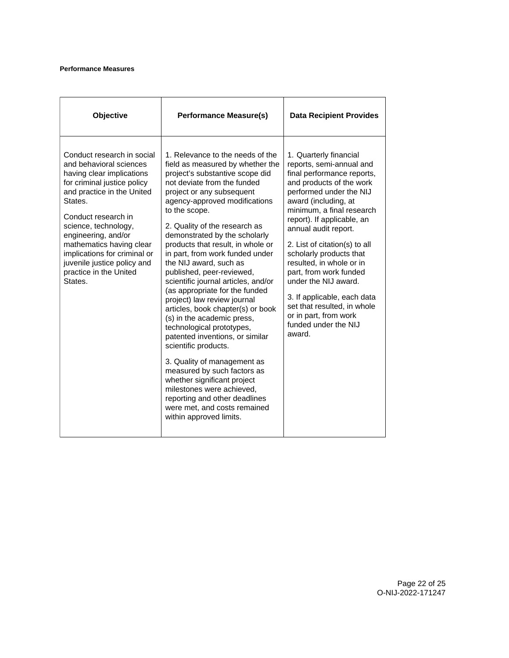## <span id="page-22-0"></span>**Performance Measures**

| Objective                                                                                                                                                                                                                                                                                                                                                        | <b>Performance Measure(s)</b>                                                                                                                                                                                                                                                                                                                                                                                                                                                                                                                                                                                                                                                                                                                                                                                                                                                                                   | <b>Data Recipient Provides</b>                                                                                                                                                                                                                                                                                                                                                                                                                                                                                        |
|------------------------------------------------------------------------------------------------------------------------------------------------------------------------------------------------------------------------------------------------------------------------------------------------------------------------------------------------------------------|-----------------------------------------------------------------------------------------------------------------------------------------------------------------------------------------------------------------------------------------------------------------------------------------------------------------------------------------------------------------------------------------------------------------------------------------------------------------------------------------------------------------------------------------------------------------------------------------------------------------------------------------------------------------------------------------------------------------------------------------------------------------------------------------------------------------------------------------------------------------------------------------------------------------|-----------------------------------------------------------------------------------------------------------------------------------------------------------------------------------------------------------------------------------------------------------------------------------------------------------------------------------------------------------------------------------------------------------------------------------------------------------------------------------------------------------------------|
| Conduct research in social<br>and behavioral sciences<br>having clear implications<br>for criminal justice policy<br>and practice in the United<br>States.<br>Conduct research in<br>science, technology,<br>engineering, and/or<br>mathematics having clear<br>implications for criminal or<br>juvenile justice policy and<br>practice in the United<br>States. | 1. Relevance to the needs of the<br>field as measured by whether the<br>project's substantive scope did<br>not deviate from the funded<br>project or any subsequent<br>agency-approved modifications<br>to the scope.<br>2. Quality of the research as<br>demonstrated by the scholarly<br>products that result, in whole or<br>in part, from work funded under<br>the NIJ award, such as<br>published, peer-reviewed,<br>scientific journal articles, and/or<br>(as appropriate for the funded<br>project) law review journal<br>articles, book chapter(s) or book<br>(s) in the academic press,<br>technological prototypes,<br>patented inventions, or similar<br>scientific products.<br>3. Quality of management as<br>measured by such factors as<br>whether significant project<br>milestones were achieved,<br>reporting and other deadlines<br>were met, and costs remained<br>within approved limits. | 1. Quarterly financial<br>reports, semi-annual and<br>final performance reports,<br>and products of the work<br>performed under the NIJ<br>award (including, at<br>minimum, a final research<br>report). If applicable, an<br>annual audit report.<br>2. List of citation(s) to all<br>scholarly products that<br>resulted, in whole or in<br>part, from work funded<br>under the NIJ award.<br>3. If applicable, each data<br>set that resulted, in whole<br>or in part, from work<br>funded under the NIJ<br>award. |

Page 22 of 25 O-NIJ-2022-171247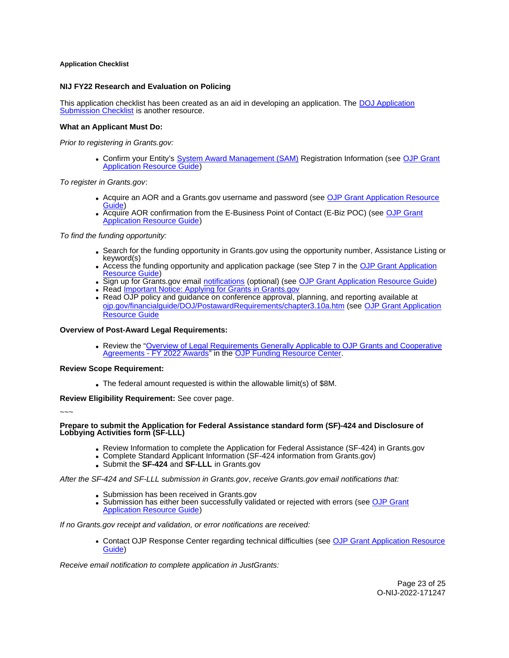## <span id="page-23-0"></span>**Application Checklist**

## **NIJ FY22 Research and Evaluation on Policing**

This application checklist has been created as an aid in developing an application. The DOJ Application [Submission Checklist](https://justicegrants.usdoj.gov/sites/g/files/xyckuh296/files/media/document/appln-submission-checklist.pdf) is another resource.

## **What an Applicant Must Do:**

Prior to registering in [Grants.gov](https://Grants.gov):

• Confirm your Entity's [System Award Management \(SAM\)](https://sam.gov/SAM/) Registration Information (see OJP Grant [Application Resource Guide\)](https://www.ojp.gov/funding/apply/ojp-grant-application-resource-guide#apply)

To register in [Grants.gov](https://Grants.gov):

- Acquire an AOR and a [Grants.gov](https://Grants.gov) username and password (see [OJP Grant Application Resource](https://www.ojp.gov/funding/apply/ojp-grant-application-resource-guide#apply)  [Guide\)](https://www.ojp.gov/funding/apply/ojp-grant-application-resource-guide#apply)
- Acquire AOR confirmation from the E-Business Point of Contact (E-Biz POC) (see OJP Grant [Application Resource Guide\)](https://www.ojp.gov/funding/apply/ojp-grant-application-resource-guide#apply)

To find the funding opportunity:

- Search for the funding opportunity in [Grants.gov](https://Grants.gov) using the opportunity number, Assistance Listing or keyword(s)
- Access the funding opportunity and application package (see Step 7 in the [OJP Grant Application](https://www.ojp.gov/funding/apply/ojp-grant-application-resource-guide#apply)  [Resource Guide\)](https://www.ojp.gov/funding/apply/ojp-grant-application-resource-guide#apply)
- Sign up for [Grants.gov](https://Grants.gov) email [notifications](https://www.grants.gov/web/grants/manage-subscriptions.html) (optional) (see [OJP Grant Application Resource Guide\)](https://www.ojp.gov/funding/apply/ojp-grant-application-resource-guide#apply)
- Read *Important Notice: Applying for Grants in Grants.gov*
- Read OJP policy and guidance on conference approval, planning, and reporting available at [ojp.gov/financialguide/DOJ/PostawardRequirements/chapter3.10a.htm](https://ojp.gov/financialguide/DOJ/PostawardRequirements/chapter3.10a.htm) (see [OJP Grant Application](https://www.ojp.gov/funding/apply/ojp-grant-application-resource-guide#prior-approval)  [Resource Guide](https://www.ojp.gov/funding/apply/ojp-grant-application-resource-guide#prior-approval)

## **Overview of Post-Award Legal Requirements:**

Review the "[Overview of Legal Requirements Generally Applicable to OJP Grants and Cooperative](https://www.ojp.gov/funding/explore/legal-overview-awards)  [Agreements - FY 2022 Awards"](https://www.ojp.gov/funding/explore/legal-overview-awards) in the [OJP Funding Resource Center.](https://www.ojp.gov/funding/explore/legal-overview-awards)

#### **Review Scope Requirement:**

The federal amount requested is within the allowable limit(s) of \$8M.

**Review Eligibility Requirement:** See cover page.

~~~

## **Prepare to submit the Application for Federal Assistance standard form (SF)-424 and Disclosure of Lobbying Activities form (SF-LLL)**

- Review Information to complete the Application for Federal Assistance (SF-424) in [Grants.gov](https://Grants.gov)
- Complete Standard Applicant Information (SF-424 information from [Grants.gov\)](https://Grants.gov)
- Submit the **SF-424** and **SF-LLL** in [Grants.gov](https://Grants.gov)

After the SF-424 and SF-LLL submission in [Grants.gov](https://Grants.gov), receive [Grants.gov](https://Grants.gov) email notifications that:

- Submission has been received in [Grants.gov](https://Grants.gov)
- Submission has either been successfully validated or rejected with errors (see OJP Grant [Application Resource Guide\)](https://www.ojp.gov/funding/apply/ojp-grant-application-resource-guide#apply)

If no [Grants.gov](https://Grants.gov) receipt and validation, or error notifications are received:

Contact OJP Response Center regarding technical difficulties (see [OJP Grant Application Resource](https://www.ojp.gov/funding/apply/ojp-grant-application-resource-guide#apply)  [Guide\)](https://www.ojp.gov/funding/apply/ojp-grant-application-resource-guide#apply)

Receive email notification to complete application in JustGrants: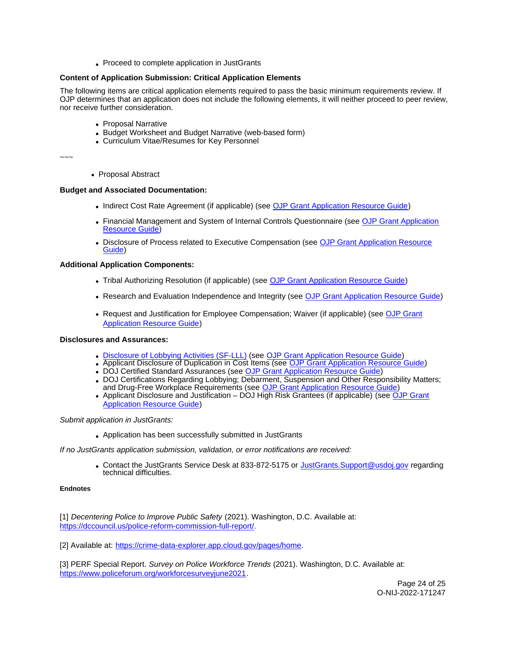• Proceed to complete application in JustGrants

## <span id="page-24-0"></span>**Content of Application Submission: Critical Application Elements**

The following items are critical application elements required to pass the basic minimum requirements review. If OJP determines that an application does not include the following elements, it will neither proceed to peer review, nor receive further consideration.

- Proposal Narrative
- Budget Worksheet and Budget Narrative (web-based form)
- Curriculum Vitae/Resumes for Key Personnel

~~~

• Proposal Abstract

## **Budget and Associated Documentation:**

- Indirect Cost Rate Agreement (if applicable) (see [OJP Grant Application Resource Guide\)](https://www.ojp.gov/funding/apply/ojp-grant-application-resource-guide#indirect-cost)
- Financial Management and System of Internal Controls Questionnaire (see OJP Grant Application [Resource Guide\)](https://www.ojp.gov/funding/apply/ojp-grant-application-resource-guide#fm-internal-controls-questionnaire)
- **Disclosure of Process related to Executive Compensation (see OJP Grant Application Resource** [Guide\)](https://www.ojp.gov/funding/apply/ojp-grant-application-resource-guide#disclosure-process-executive)

## **Additional Application Components:**

- Tribal Authorizing Resolution (if applicable) (see [OJP Grant Application Resource Guide\)](https://www.ojp.gov/funding/apply/ojp-grant-application-resource-guide#tribal-authorizing-resolution)
- Research and Evaluation Independence and Integrity (see [OJP Grant Application Resource Guide\)](https://www.ojp.gov/funding/apply/ojp-grant-application-resource-guide#research-evaluation)
- Request and Justification for Employee Compensation; Waiver (if applicable) (see OJP Grant [Application Resource Guide\)](https://www.ojp.gov/funding/apply/ojp-grant-application-resource-guide#limitation-use-award)

## **Disclosures and Assurances:**

- [Disclosure of Lobbying Activities \(SF-LLL\)](https://ojp.gov/funding/Apply/Resources/Disclosure.pdf) (see [OJP Grant Application Resource Guide\)](https://www.ojp.gov/funding/apply/ojp-grant-application-resource-guide#disclosure-lobby)
- Applicant Disclosure of Duplication in Cost Items (see [OJP Grant Application Resource Guide\)](https://www.ojp.gov/funding/apply/ojp-grant-application-resource-guide#applicant-disclosure-pending-applications)
- DOJ Certified Standard Assurances (see [OJP Grant Application Resource Guide\)](https://www.ojp.gov/funding/apply/ojp-grant-application-resource-guide#administrative)
- DOJ Certifications Regarding Lobbying; Debarment, Suspension and Other Responsibility Matters; and Drug-Free Workplace Requirements (see [OJP Grant Application Resource Guide\)](https://www.ojp.gov/funding/apply/ojp-grant-application-resource-guide#administrative)
- Applicant Disclosure and Justification DOJ High Risk Grantees (if applicable) (see OJP Grant [Application Resource Guide\)](https://www.ojp.gov/funding/apply/ojp-grant-application-resource-guide#applicant-disclosure-justification)

## Submit application in JustGrants:

Application has been successfully submitted in JustGrants

## If no JustGrants application submission, validation, or error notifications are received:

• Contact the JustGrants Service Desk at 833-872-5175 or [JustGrants.Support@usdoj.gov](mailto:JustGrants.Support@usdoj.gov) regarding technical difficulties.

## **Endnotes**

[1] Decentering Police to Improve Public Safety (2021). Washington, D.C. Available at: [https://dccouncil.us/police-reform-commission-full-report/.](https://dccouncil.us/police-reform-commission-full-report/)

[2] Available at: [https://crime-data-explorer.app.cloud.gov/pages/home.](https://crime-data-explorer.app.cloud.gov/pages/home)

[3] PERF Special Report. Survey on Police Workforce Trends (2021). Washington, D.C. Available at: [https://www.policeforum.org/workforcesurveyjune2021.](https://www.policeforum.org/workforcesurveyjune2021)